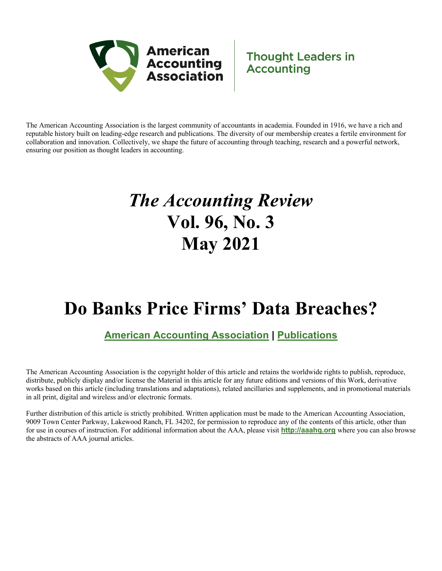

# **Thought Leaders in Accounting**

The American Accounting Association is the largest community of accountants in academia. Founded in 1916, we have a rich and reputable history built on leading-edge research and publications. The diversity of our membership creates a fertile environment for collaboration and innovation. Collectively, we shape the future of accounting through teaching, research and a powerful network, ensuring our position as thought leaders in accounting.

# *The Accounting Review* **Vol. 96, No. 3 May 2021**

# **Do Banks Price Firms' Data Breaches?**

# **American Accounting Association | Publications**

The American Accounting Association is the copyright holder of this article and retains the worldwide rights to publish, reproduce, distribute, publicly display and/or license the Material in this article for any future editions and versions of this Work, derivative works based on this article (including translations and adaptations), related ancillaries and supplements, and in promotional materials in all print, digital and wireless and/or electronic formats.

Further distribution of this article is strictly prohibited. Written application must be made to the American Accounting Association, 9009 Town Center Parkway, Lakewood Ranch, FL 34202, for permission to reproduce any of the contents of this article, other than for use in courses of instruction. For additional information about the AAA, please visit **http://aaahq.org** where you can also browse the abstracts of AAA journal articles.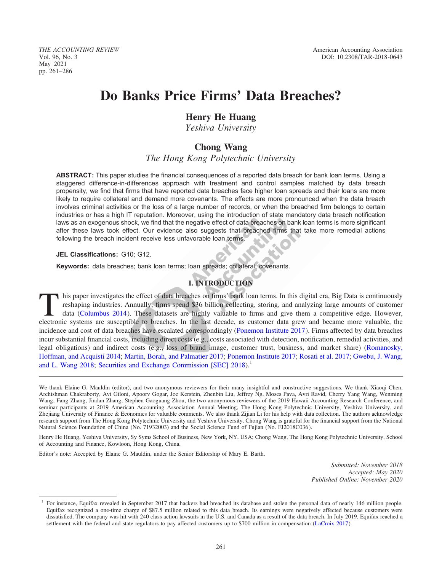THE ACCOUNTING REVIEW American Accounting Association May 2021 pp. 261–286

# Do Banks Price Firms' Data Breaches?

# Henry He Huang

Yeshiva University

# Chong Wang

The Hong Kong Polytechnic University

ABSTRACT: This paper studies the financial consequences of a reported data breach for bank loan terms. Using a staggered difference-in-differences approach with treatment and control samples matched by data breach propensity, we find that firms that have reported data breaches face higher loan spreads and their loans are more likely to require collateral and demand more covenants. The effects are more pronounced when the data breach involves criminal activities or the loss of a large number of records, or when the breached firm belongs to certain industries or has a high IT reputation. Moreover, using the introduction of state mandatory data breach notification laws as an exogenous shock, we find that the negative effect of data breaches on bank loan terms is more significant after these laws took effect. Our evidence also suggests that breached firms that take more remedial actions following the breach incident receive less unfavorable loan terms.

# JEL Classifications: G10; G12.

Keywords: data breaches; bank loan terms; loan spreads; collateral; covenants.

# I. INTRODUCTION

This paper investigates the effect of data breaches on firms' bank loan terms. In this digital era, Big Data is continuously reshaping industries. Annually, firms spend \$36 billion collecting, storing, and analyzing large reshaping industries. Annually, firms spend \$36 billion collecting, storing, and analyzing large amounts of customer data (Columbus 2014). These datasets are highly valuable to firms and give them a competitive edge. However, electronic systems are susceptible to breaches. In the last decade, as customer data grew and became more valuable, the incidence and cost of data breaches have escalated correspondingly ([Ponemon Institute 2017](#page-22-0)). Firms affected by data breaches incur substantial financial costs, including direct costs (e.g., costs associated with detection, notification, remedial activities, and legal obligations) and indirect costs (e.g., loss of brand image, customer trust, business, and market share) ([Romanosky,](#page-22-0) [Hoffman, and Acquisti 2014](#page-22-0); [Martin, Borah, and Palmatier 2017](#page-22-0); [Ponemon Institute 2017;](#page-22-0) [Rosati et al. 2017](#page-23-0); [Gwebu, J. Wang,](#page-21-0) [and L. Wang 2018;](#page-21-0) [Securities and Exchange Commission \[SEC\] 2018](#page-23-0)).<sup>1</sup>

We thank Elaine G. Mauldin (editor), and two anonymous reviewers for their many insightful and constructive suggestions. We thank Xiaoqi Chen, Archishman Chakraborty, Avi Giloni, Apoorv Gogar, Joe Kerstein, Zhenbin Liu, Jeffrey Ng, Moses Pava, Avri Ravid, Cherry Yang Wang, Wenming Wang, Fang Zhang, Jindan Zhang, Stephen Gaoguang Zhou, the two anonymous reviewers of the 2019 Hawaii Accounting Research Conference, and seminar participants at 2019 American Accounting Association Annual Meeting, The Hong Kong Polytechnic University, Yeshiva University, and Zhejiang University of Finance & Economics for valuable comments. We also thank Zijian Li for his help with data collection. The authors acknowledge research support from The Hong Kong Polytechnic University and Yeshiva University. Chong Wang is grateful for the financial support from the National Natural Science Foundation of China (No. 71932003) and the Social Science Fund of Fujian (No. FJ2018C036).

Henry He Huang, Yeshiva University, Sy Syms School of Business, New York, NY, USA; Chong Wang, The Hong Kong Polytechnic University, School of Accounting and Finance, Kowloon, Hong Kong, China.

Editor's note: Accepted by Elaine G. Mauldin, under the Senior Editorship of Mary E. Barth.

Submitted: November 2018 Accepted: May 2020 Published Online: November 2020

<sup>1</sup> For instance, Equifax revealed in September 2017 that hackers had breached its database and stolen the personal data of nearly 146 million people. Equifax recognized a one-time charge of \$87.5 million related to this data breach. Its earnings were negatively affected because customers were dissatisfied. The company was hit with 240 class action lawsuits in the U.S. and Canada as a result of the data breach. In July 2019, Equifax reached a settlement with the federal and state regulators to pay affected customers up to \$700 million in compensation [\(LaCroix 2017](#page-22-0)).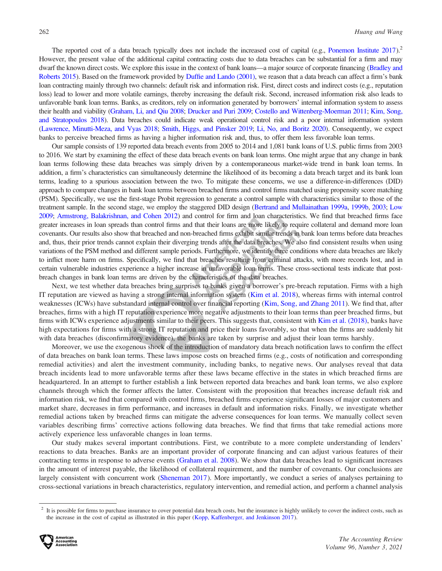The reported cost of a data breach typically does not include the increased cost of capital (e.g., [Ponemon Institute 2017](#page-22-0)).<sup>2</sup> However, the present value of the additional capital contracting costs due to data breaches can be substantial for a firm and may dwarf the known direct costs. We explore this issue in the context of bank loans—a major source of corporate financing [\(Bradley and](#page-21-0) [Roberts 2015](#page-21-0)). Based on the framework provided by [Duffie and Lando \(2001\)](#page-21-0), we reason that a data breach can affect a firm's bank loan contracting mainly through two channels: default risk and information risk. First, direct costs and indirect costs (e.g., reputation loss) lead to lower and more volatile earnings, thereby increasing the default risk. Second, increased information risk also leads to unfavorable bank loan terms. Banks, as creditors, rely on information generated by borrowers' internal information system to assess their health and viability [\(Graham, Li, and Qiu 2008;](#page-21-0) [Drucker and Puri 2009;](#page-21-0) [Costello and Wittenberg-Moerman 2011](#page-21-0); [Kim, Song,](#page-22-0) [and Stratopoulos 2018](#page-22-0)). Data breaches could indicate weak operational control risk and a poor internal information system [\(Lawrence, Minutti-Meza, and Vyas 2018](#page-22-0); [Smith, Higgs, and Pinsker 2019;](#page-23-0) [Li, No, and Boritz 2020](#page-22-0)). Consequently, we expect banks to perceive breached firms as having a higher information risk and, thus, to offer them less favorable loan terms.

Our sample consists of 139 reported data breach events from 2005 to 2014 and 1,081 bank loans of U.S. public firms from 2003 to 2016. We start by examining the effect of these data breach events on bank loan terms. One might argue that any change in bank loan terms following these data breaches was simply driven by a contemporaneous market-wide trend in bank loan terms. In addition, a firm's characteristics can simultaneously determine the likelihood of its becoming a data breach target and its bank loan terms, leading to a spurious association between the two. To mitigate these concerns, we use a difference-in-differences (DID) approach to compare changes in bank loan terms between breached firms and control firms matched using propensity score matching (PSM). Specifically, we use the first-stage Probit regression to generate a control sample with characteristics similar to those of the treatment sample. In the second stage, we employ the staggered DID design [\(Bertrand and Mullainathan 1999a](#page-21-0), [1999b](#page-21-0), [2003;](#page-21-0) [Low](#page-22-0) [2009](#page-22-0); [Armstrong, Balakrishnan, and Cohen 2012](#page-20-0)) and control for firm and loan characteristics. We find that breached firms face greater increases in loan spreads than control firms and that their loans are more likely to require collateral and demand more loan covenants. Our results also show that breached and non-breached firms exhibit similar trends in bank loan terms before data breaches and, thus, their prior trends cannot explain their diverging trends after the data breaches. We also find consistent results when using variations of the PSM method and different sample periods. Furthermore, we identify three conditions where data breaches are likely to inflict more harm on firms. Specifically, we find that breaches resulting from criminal attacks, with more records lost, and in certain vulnerable industries experience a higher increase in unfavorable loan terms. These cross-sectional tests indicate that postbreach changes in bank loan terms are driven by the characteristics of the data breaches.

Next, we test whether data breaches bring surprises to banks given a borrower's pre-breach reputation. Firms with a high IT reputation are viewed as having a strong internal information system ([Kim et al. 2018\)](#page-22-0), whereas firms with internal control weaknesses (ICWs) have substandard internal control over financial reporting [\(Kim, Song, and Zhang 2011\)](#page-22-0). We find that, after breaches, firms with a high IT reputation experience more negative adjustments to their loan terms than peer breached firms, but firms with ICWs experience adjustments similar to their peers. This suggests that, consistent with [Kim et al. \(2018\),](#page-22-0) banks have high expectations for firms with a strong IT reputation and price their loans favorably, so that when the firms are suddenly hit with data breaches (disconfirmatory evidence), the banks are taken by surprise and adjust their loan terms harshly.

Moreover, we use the exogenous shock of the introduction of mandatory data breach notification laws to confirm the effect of data breaches on bank loan terms. These laws impose costs on breached firms (e.g., costs of notification and corresponding remedial activities) and alert the investment community, including banks, to negative news. Our analyses reveal that data breach incidents lead to more unfavorable terms after these laws became effective in the states in which breached firms are headquartered. In an attempt to further establish a link between reported data breaches and bank loan terms, we also explore channels through which the former affects the latter. Consistent with the proposition that breaches increase default risk and information risk, we find that compared with control firms, breached firms experience significant losses of major customers and market share, decreases in firm performance, and increases in default and information risks. Finally, we investigate whether remedial actions taken by breached firms can mitigate the adverse consequences for loan terms. We manually collect seven variables describing firms' corrective actions following data breaches. We find that firms that take remedial actions more actively experience less unfavorable changes in loan terms.

Our study makes several important contributions. First, we contribute to a more complete understanding of lenders' reactions to data breaches. Banks are an important provider of corporate financing and can adjust various features of their contracting terms in response to adverse events [\(Graham et al. 2008](#page-21-0)). We show that data breaches lead to significant increases in the amount of interest payable, the likelihood of collateral requirement, and the number of covenants. Our conclusions are largely consistent with concurrent work [\(Sheneman 2017](#page-23-0)). More importantly, we conduct a series of analyses pertaining to cross-sectional variations in breach characteristics, regulatory intervention, and remedial action, and perform a channel analysis

<sup>2</sup> It is possible for firms to purchase insurance to cover potential data breach costs, but the insurance is highly unlikely to cover the indirect costs, such as the increase in the cost of capital as illustrated in this paper [\(Kopp, Kaffenberger, and Jenkinson 2017](#page-22-0)).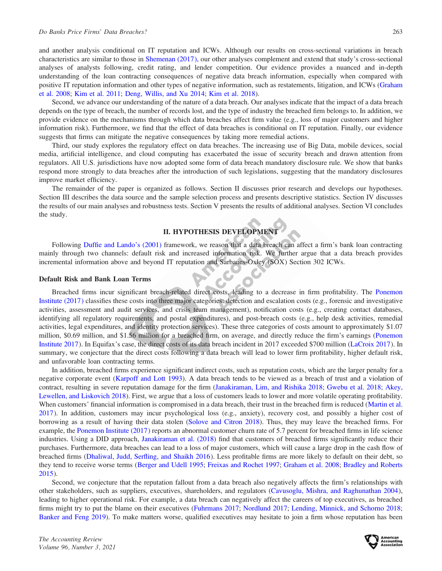and another analysis conditional on IT reputation and ICWs. Although our results on cross-sectional variations in breach characteristics are similar to those in [Shemenan \(2017\),](#page-23-0) our other analyses complement and extend that study's cross-sectional analyses of analysts following, credit rating, and lender competition. Our evidence provides a nuanced and in-depth understanding of the loan contracting consequences of negative data breach information, especially when compared with positive IT reputation information and other types of negative information, such as restatements, litigation, and ICWs [\(Graham](#page-21-0) [et al. 2008](#page-21-0); [Kim et al. 2011](#page-22-0); [Deng, Willis, and Xu 2014;](#page-21-0) [Kim et al. 2018\)](#page-22-0).

Second, we advance our understanding of the nature of a data breach. Our analyses indicate that the impact of a data breach depends on the type of breach, the number of records lost, and the type of industry the breached firm belongs to. In addition, we provide evidence on the mechanisms through which data breaches affect firm value (e.g., loss of major customers and higher information risk). Furthermore, we find that the effect of data breaches is conditional on IT reputation. Finally, our evidence suggests that firms can mitigate the negative consequences by taking more remedial actions.

Third, our study explores the regulatory effect on data breaches. The increasing use of Big Data, mobile devices, social media, artificial intelligence, and cloud computing has exacerbated the issue of security breach and drawn attention from regulators. All U.S. jurisdictions have now adopted some form of data breach mandatory disclosure rule. We show that banks respond more strongly to data breaches after the introduction of such legislations, suggesting that the mandatory disclosures improve market efficiency.

The remainder of the paper is organized as follows. Section II discusses prior research and develops our hypotheses. Section III describes the data source and the sample selection process and presents descriptive statistics. Section IV discusses the results of our main analyses and robustness tests. Section V presents the results of additional analyses. Section VI concludes the study.

# II. HYPOTHESIS DEVELOPMENT

Following [Duffie and Lando's \(2001\)](#page-21-0) framework, we reason that a data breach can affect a firm's bank loan contracting mainly through two channels: default risk and increased information risk. We further argue that a data breach provides incremental information above and beyond IT reputation and Sarbanes-Oxley (SOX) Section 302 ICWs.

#### Default Risk and Bank Loan Terms

Breached firms incur significant breach-related direct costs, leading to a decrease in firm profitability. The [Ponemon](#page-22-0) [Institute \(2017\)](#page-22-0) classifies these costs into three major categories: detection and escalation costs (e.g., forensic and investigative activities, assessment and audit services, and crisis team management), notification costs (e.g., creating contact databases, identifying all regulatory requirements, and postal expenditures), and post-breach costs (e.g., help desk activities, remedial activities, legal expenditures, and identity protection services). These three categories of costs amount to approximately \$1.07 million, \$0.69 million, and \$1.56 million for a breached firm, on average, and directly reduce the firm's earnings [\(Ponemon](#page-22-0) [Institute 2017](#page-22-0)). In Equifax's case, the direct costs of its data breach incident in 2017 exceeded \$700 million [\(LaCroix 2017](#page-22-0)). In summary, we conjecture that the direct costs following a data breach will lead to lower firm profitability, higher default risk, and unfavorable loan contracting terms.

In addition, breached firms experience significant indirect costs, such as reputation costs, which are the larger penalty for a negative corporate event ([Karpoff and Lott 1993\)](#page-22-0). A data breach tends to be viewed as a breach of trust and a violation of contract, resulting in severe reputation damage for the firm [\(Janakiraman, Lim, and Rishika 2018](#page-22-0); [Gwebu et al. 2018](#page-21-0); [Akey,](#page-20-0) [Lewellen, and Liskovich 2018\)](#page-20-0). First, we argue that a loss of customers leads to lower and more volatile operating profitability. When customers' financial information is compromised in a data breach, their trust in the breached firm is reduced ([Martin et al.](#page-22-0) [2017](#page-22-0)). In addition, customers may incur psychological loss (e.g., anxiety), recovery cost, and possibly a higher cost of borrowing as a result of having their data stolen [\(Solove and Citron 2018\)](#page-23-0). Thus, they may leave the breached firms. For example, the [Ponemon Institute \(2017\)](#page-22-0) reports an abnormal customer churn rate of 5.7 percent for breached firms in life science industries. Using a DID approach, [Janakiraman et al. \(2018\)](#page-22-0) find that customers of breached firms significantly reduce their purchases. Furthermore, data breaches can lead to a loss of major customers, which will cause a large drop in the cash flow of breached firms ([Dhaliwal, Judd, Serfling, and Shaikh 2016](#page-21-0)). Less profitable firms are more likely to default on their debt, so they tend to receive worse terms [\(Berger and Udell 1995](#page-21-0); [Freixas and Rochet 1997;](#page-21-0) [Graham et al. 2008](#page-21-0); [Bradley and Roberts](#page-21-0) [2015](#page-21-0)).

Second, we conjecture that the reputation fallout from a data breach also negatively affects the firm's relationships with other stakeholders, such as suppliers, executives, shareholders, and regulators ([Cavusoglu, Mishra, and Raghunathan 2004](#page-21-0)), leading to higher operational risk. For example, a data breach can negatively affect the careers of top executives, as breached firms might try to put the blame on their executives [\(Fuhrmans 2017](#page-21-0); [Nordlund 2017](#page-22-0); [Lending, Minnick, and Schorno 2018](#page-22-0); [Banker and Feng 2019\)](#page-20-0). To make matters worse, qualified executives may hesitate to join a firm whose reputation has been

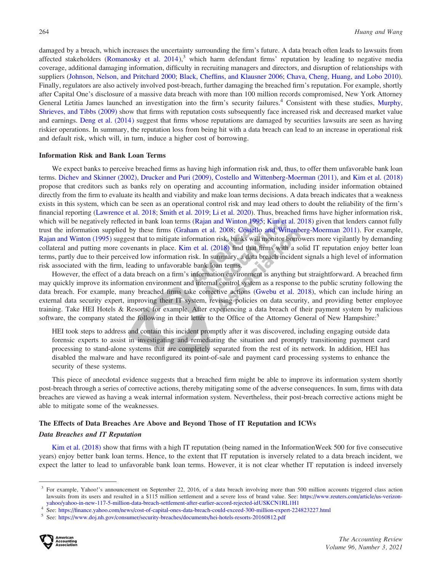damaged by a breach, which increases the uncertainty surrounding the firm's future. A data breach often leads to lawsuits from affected stakeholders (Romanosky et al.  $2014$ ),<sup>3</sup> which harm defendant firms' reputation by leading to negative media coverage, additional damaging information, difficulty in recruiting managers and directors, and disruption of relationships with suppliers ([Johnson, Nelson, and Pritchard 2000](#page-22-0); [Black, Cheffins, and Klausner 2006;](#page-21-0) [Chava, Cheng, Huang, and Lobo 2010](#page-21-0)). Finally, regulators are also actively involved post-breach, further damaging the breached firm's reputation. For example, shortly after Capital One's disclosure of a massive data breach with more than 100 million records compromised, New York Attorney General Letitia James launched an investigation into the firm's security failures.<sup>4</sup> Consistent with these studies, [Murphy,](#page-22-0) [Shrieves, and Tibbs \(2009\)](#page-22-0) show that firms with reputation costs subsequently face increased risk and decreased market value and earnings. [Deng et al. \(2014\)](#page-21-0) suggest that firms whose reputations are damaged by securities lawsuits are seen as having riskier operations. In summary, the reputation loss from being hit with a data breach can lead to an increase in operational risk and default risk, which will, in turn, induce a higher cost of borrowing.

#### Information Risk and Bank Loan Terms

We expect banks to perceive breached firms as having high information risk and, thus, to offer them unfavorable bank loan terms. [Dichev and Skinner \(2002\),](#page-21-0) [Drucker and Puri \(2009\),](#page-21-0) [Costello and Wittenberg-Moerman \(2011\)](#page-21-0), and [Kim et al. \(2018\)](#page-22-0) propose that creditors such as banks rely on operating and accounting information, including insider information obtained directly from the firm to evaluate its health and viability and make loan terms decisions. A data breach indicates that a weakness exists in this system, which can be seen as an operational control risk and may lead others to doubt the reliability of the firm's financial reporting ([Lawrence et al. 2018](#page-22-0); [Smith et al. 2019](#page-23-0); [Li et al. 2020\)](#page-22-0). Thus, breached firms have higher information risk, which will be negatively reflected in bank loan terms ([Rajan and Winton 1995;](#page-22-0) [Kim et al. 2018\)](#page-22-0) given that lenders cannot fully trust the information supplied by these firms ([Graham et al. 2008;](#page-21-0) [Costello and Wittenberg-Moerman 2011\)](#page-21-0). For example, [Rajan and Winton \(1995\)](#page-22-0) suggest that to mitigate information risk, banks will monitor borrowers more vigilantly by demanding collateral and putting more covenants in place. [Kim et al. \(2018\)](#page-22-0) find that firms with a solid IT reputation enjoy better loan terms, partly due to their perceived low information risk. In summary, a data breach incident signals a high level of information risk associated with the firm, leading to unfavorable bank loan terms.

However, the effect of a data breach on a firm's information environment is anything but straightforward. A breached firm may quickly improve its information environment and internal control system as a response to the public scrutiny following the data breach. For example, many breached firms take corrective actions [\(Gwebu et al. 2018\)](#page-21-0), which can include hiring an external data security expert, improving their IT system, revising policies on data security, and providing better employee training. Take HEI Hotels & Resorts, for example. After experiencing a data breach of their payment system by malicious software, the company stated the following in their letter to the Office of the Attorney General of New Hampshire:<sup>5</sup>

HEI took steps to address and contain this incident promptly after it was discovered, including engaging outside data forensic experts to assist in investigating and remediating the situation and promptly transitioning payment card processing to stand-alone systems that are completely separated from the rest of its network. In addition, HEI has disabled the malware and have reconfigured its point-of-sale and payment card processing systems to enhance the security of these systems.

This piece of anecdotal evidence suggests that a breached firm might be able to improve its information system shortly post-breach through a series of corrective actions, thereby mitigating some of the adverse consequences. In sum, firms with data breaches are viewed as having a weak internal information system. Nevertheless, their post-breach corrective actions might be able to mitigate some of the weaknesses.

#### The Effects of Data Breaches Are Above and Beyond Those of IT Reputation and ICWs

#### Data Breaches and IT Reputation

[Kim et al. \(2018\)](#page-22-0) show that firms with a high IT reputation (being named in the InformationWeek 500 for five consecutive years) enjoy better bank loan terms. Hence, to the extent that IT reputation is inversely related to a data breach incident, we expect the latter to lead to unfavorable bank loan terms. However, it is not clear whether IT reputation is indeed inversely



<sup>&</sup>lt;sup>3</sup> For example, Yahoo!'s announcement on September 22, 2016, of a data breach involving more than 500 million accounts triggered class action lawsuits from its users and resulted in a \$115 million settlement and a severe loss of brand value. See: [https://www.reuters.com/article/us-verizon-](https://www.reuters.com/article/us-verizon-yahoo/yahoo-in-new-117-5-million-data-breach-settlement-after-earlier-accord-rejected-idUSKCN1RL1H1)

[yahoo/yahoo-in-new-117-5-million-data-breach-settlement-after-earlier-accord-rejected-idUSKCN1RL1H1](https://www.reuters.com/article/us-verizon-yahoo/yahoo-in-new-117-5-million-data-breach-settlement-after-earlier-accord-rejected-idUSKCN1RL1H1)<br>
<sup>4</sup> See: <https://finance.yahoo.com/news/cost-of-capital-ones-data-breach-could-exceed-300-million-expert-224823227.html><br>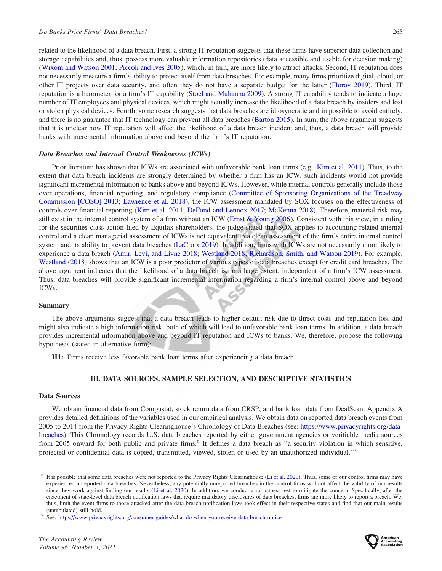related to the likelihood of a data breach. First, a strong IT reputation suggests that these firms have superior data collection and storage capabilities and, thus, possess more valuable information repositories (data accessible and usable for decision making) [\(Wixom and Watson 2001;](#page-23-0) [Piccoli and Ives 2005\)](#page-22-0), which, in turn, are more likely to attract attacks. Second, IT reputation does not necessarily measure a firm's ability to protect itself from data breaches. For example, many firms prioritize digital, cloud, or other IT projects over data security, and often they do not have a separate budget for the latter ([Florov 2019](#page-21-0)). Third, IT reputation is a barometer for a firm's IT capability ([Stoel and Muhanna 2009](#page-23-0)). A strong IT capability tends to indicate a large number of IT employees and physical devices, which might actually increase the likelihood of a data breach by insiders and lost or stolen physical devices. Fourth, some research suggests that data breaches are idiosyncratic and impossible to avoid entirely, and there is no guarantee that IT technology can prevent all data breaches [\(Barton 2015](#page-20-0)). In sum, the above argument suggests that it is unclear how IT reputation will affect the likelihood of a data breach incident and, thus, a data breach will provide banks with incremental information above and beyond the firm's IT reputation.

#### Data Breaches and Internal Control Weaknesses (ICWs)

Prior literature has shown that ICWs are associated with unfavorable bank loan terms (e.g., [Kim et al. 2011\)](#page-22-0). Thus, to the extent that data breach incidents are strongly determined by whether a firm has an ICW, such incidents would not provide significant incremental information to banks above and beyond ICWs. However, while internal controls generally include those over operations, financial reporting, and regulatory compliance ([Committee of Sponsoring Organizations of the Treadway](#page-21-0) [Commission \[COSO\] 2013](#page-21-0); [Lawrence et al. 2018](#page-22-0)), the ICW assessment mandated by SOX focuses on the effectiveness of controls over financial reporting ([Kim et al. 2011;](#page-22-0) [DeFond and Lennox 2017](#page-21-0); [McKenna 2018](#page-22-0)). Therefore, material risk may still exist in the internal control system of a firm without an ICW [\(Ernst & Young 2006](#page-21-0)). Consistent with this view, in a ruling for the securities class action filed by Equifax shareholders, the judge stated that SOX applies to accounting-related internal control and a clean managerial assessment of ICWs is not equivalent to a clean assessment of the firm's entire internal control system and its ability to prevent data breaches [\(LaCroix 2019](#page-22-0)). In addition, firms with ICWs are not necessarily more likely to experience a data breach ([Amir, Levi, and Livne 2018](#page-20-0); [Westland 2018;](#page-23-0) [Richardson, Smith, and Watson 2019](#page-22-0)). For example, [Westland \(2018\)](#page-23-0) shows that an ICW is a poor predictor of various types of data breaches except for credit card breaches. The above argument indicates that the likelihood of a data breach is, to a large extent, independent of a firm's ICW assessment. Thus, data breaches will provide significant incremental information regarding a firm's internal control above and beyond ICWs.

#### Summary

The above arguments suggest that a data breach leads to higher default risk due to direct costs and reputation loss and might also indicate a high information risk, both of which will lead to unfavorable bank loan terms. In addition, a data breach provides incremental information above and beyond IT reputation and ICWs to banks. We, therefore, propose the following hypothesis (stated in alternative form):

H1: Firms receive less favorable bank loan terms after experiencing a data breach.

#### III. DATA SOURCES, SAMPLE SELECTION, AND DESCRIPTIVE STATISTICS

#### Data Sources

We obtain financial data from Compustat, stock return data from CRSP, and bank loan data from DealScan. Appendix A provides detailed definitions of the variables used in our empirical analysis. We obtain data on reported data breach events from 2005 to 2014 from the Privacy Rights Clearinghouse's Chronology of Data Breaches (see: [https://www.privacyrights.org/data](https://www.privacyrights.org/data-breaches)[breaches](https://www.privacyrights.org/data-breaches)). This Chronology records U.S. data breaches reported by either government agencies or verifiable media sources from 2005 onward for both public and private firms.<sup>6</sup> It defines a data breach as "a security violation in which sensitive, protected or confidential data is copied, transmitted, viewed, stolen or used by an unauthorized individual."<sup>7</sup>



 $6$  It is possible that some data breaches were not reported to the Privacy Rights Clearinghouse ([Li et al. 2020\)](#page-22-0). Thus, some of our control firms may have experienced unreported data breaches. Nevertheless, any potentially unreported breaches in the control firms will not affect the validity of our results since they work against finding our results [\(Li et al. 2020](#page-22-0)). In addition, we conduct a robustness test to mitigate the concern. Specifically, after the enactment of state-level data breach notification laws that require mandatory disclosures of data breaches, firms are more likely to report a breach. We, thus, limit the event firms to those attacked after the data breach notification laws took effect in their respective states and find that our main results (untabulated) still hold.<br>
See: <https://www.privacyrights.org/consumer-guides/what-do-when-you-receive-data-breach-notice>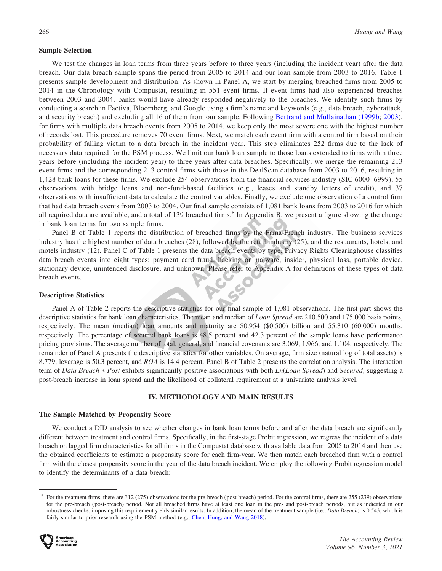#### Sample Selection

We test the changes in loan terms from three years before to three years (including the incident year) after the data breach. Our data breach sample spans the period from 2005 to 2014 and our loan sample from 2003 to 2016. Table 1 presents sample development and distribution. As shown in Panel A, we start by merging breached firms from 2005 to 2014 in the Chronology with Compustat, resulting in 551 event firms. If event firms had also experienced breaches between 2003 and 2004, banks would have already responded negatively to the breaches. We identify such firms by conducting a search in Factiva, Bloomberg, and Google using a firm's name and keywords (e.g., data breach, cyberattack, and security breach) and excluding all 16 of them from our sample. Following [Bertrand and Mullainathan \(1999b;](#page-21-0) [2003](#page-21-0)), for firms with multiple data breach events from 2005 to 2014, we keep only the most severe one with the highest number of records lost. This procedure removes 70 event firms. Next, we match each event firm with a control firm based on their probability of falling victim to a data breach in the incident year. This step eliminates 252 firms due to the lack of necessary data required for the PSM process. We limit our bank loan sample to those loans extended to firms within three years before (including the incident year) to three years after data breaches. Specifically, we merge the remaining 213 event firms and the corresponding 213 control firms with those in the DealScan database from 2003 to 2016, resulting in 1,428 bank loans for these firms. We exclude 254 observations from the financial services industry (SIC 6000–6999), 55 observations with bridge loans and non-fund-based facilities (e.g., leases and standby letters of credit), and 37 observations with insufficient data to calculate the control variables. Finally, we exclude one observation of a control firm that had data breach events from 2003 to 2004. Our final sample consists of 1,081 bank loans from 2003 to 2016 for which all required data are available, and a total of 139 breached firms.<sup>8</sup> In Appendix B, we present a figure showing the change in bank loan terms for two sample firms.

Panel B of Table 1 reports the distribution of breached firms by the Fama-French industry. The business services industry has the highest number of data breaches (28), followed by the retail industry (25), and the restaurants, hotels, and motels industry (12). Panel C of Table 1 presents the data breach events by type. Privacy Rights Clearinghouse classifies data breach events into eight types: payment card fraud, hacking or malware, insider, physical loss, portable device, stationary device, unintended disclosure, and unknown. Please refer to Appendix A for definitions of these types of data breach events.

#### Descriptive Statistics

Panel A of Table 2 reports the descriptive statistics for our final sample of 1,081 observations. The first part shows the descriptive statistics for bank loan characteristics. The mean and median of *Loan Spread* are 210.500 and 175.000 basis points, respectively. The mean (median) loan amounts and maturity are \$0.954 (\$0.500) billion and 55.310 (60.000) months, respectively. The percentage of secured bank loans is 48.5 percent and 42.3 percent of the sample loans have performance pricing provisions. The average number of total, general, and financial covenants are 3.069, 1.966, and 1.104, respectively. The remainder of Panel A presents the descriptive statistics for other variables. On average, firm size (natural log of total assets) is 8.779, leverage is 50.3 percent, and ROA is 14.4 percent. Panel B of Table 2 presents the correlation analysis. The interaction term of Data Breach \* Post exhibits significantly positive associations with both Ln(Loan Spread) and Secured, suggesting a post-breach increase in loan spread and the likelihood of collateral requirement at a univariate analysis level.

# IV. METHODOLOGY AND MAIN RESULTS

#### The Sample Matched by Propensity Score

We conduct a DID analysis to see whether changes in bank loan terms before and after the data breach are significantly different between treatment and control firms. Specifically, in the first-stage Probit regression, we regress the incident of a data breach on lagged firm characteristics for all firms in the Compustat database with available data from 2005 to 2014 and then use the obtained coefficients to estimate a propensity score for each firm-year. We then match each breached firm with a control firm with the closest propensity score in the year of the data breach incident. We employ the following Probit regression model to identify the determinants of a data breach:

<sup>&</sup>lt;sup>8</sup> For the treatment firms, there are 312 (275) observations for the pre-breach (post-breach) period. For the control firms, there are 255 (239) observations for the pre-breach (post-breach) period. Not all breached firms have at least one loan in the pre- and post-breach periods, but as indicated in our robustness checks, imposing this requirement yields similar results. In addition, the mean of the treatment sample (i.e., Data Breach) is 0.543, which is fairly similar to prior research using the PSM method (e.g., [Chen, Hung, and Wang 2018](#page-21-0)).

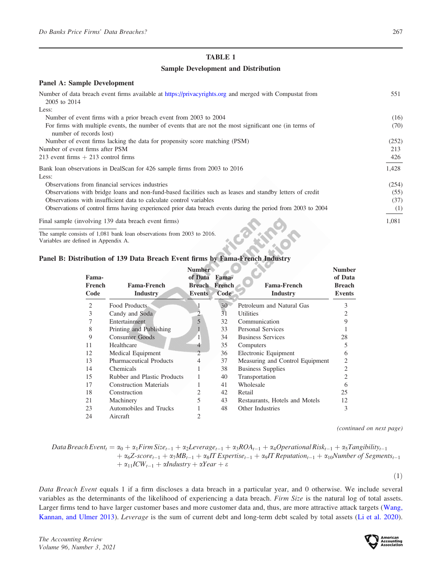#### Sample Development and Distribution

| <b>Panel A: Sample Development</b>                                                                                                 |       |
|------------------------------------------------------------------------------------------------------------------------------------|-------|
| Number of data breach event firms available at https://privacyrights.org and merged with Compustat from<br>2005 to 2014            | 551   |
| Less:                                                                                                                              |       |
| Number of event firms with a prior breach event from 2003 to 2004                                                                  | (16)  |
| For firms with multiple events, the number of events that are not the most significant one (in terms of<br>number of records lost) | (70)  |
| Number of event firms lacking the data for propensity score matching (PSM)                                                         | (252) |
| Number of event firms after PSM                                                                                                    | 213   |
| 213 event firms $+$ 213 control firms                                                                                              | 426   |
| Bank loan observations in DealScan for 426 sample firms from 2003 to 2016                                                          | 1,428 |
| Less:                                                                                                                              |       |
| Observations from financial services industries                                                                                    | (254) |
| Observations with bridge loans and non-fund-based facilities such as leases and standby letters of credit                          | (55)  |
| Observations with insufficient data to calculate control variables                                                                 | (37)  |
| Observations of control firms having experienced prior data breach events during the period from 2003 to 2004                      | (1)   |
| Final sample (involving 139 data breach event firms)                                                                               | 1,081 |

The sample consists of 1,081 bank loan observations from 2003 to 2016.

Variables are defined in Appendix A.

# Panel B: Distribution of 139 Data Breach Event firms by Fama-French Industry

|               |                                | <b>Number</b>        |       |                                 | <b>Number</b>  |
|---------------|--------------------------------|----------------------|-------|---------------------------------|----------------|
| Fama-         |                                | of Data              | Fama- |                                 | of Data        |
| <b>French</b> | <b>Fama-French</b>             | <b>Breach French</b> |       | <b>Fama-French</b>              | <b>Breach</b>  |
| Code          | <b>Industry</b>                | <b>Events</b>        | Code  | <b>Industry</b>                 | <b>Events</b>  |
| 2             | Food Products                  |                      | 30    | Petroleum and Natural Gas       |                |
| 3             | Candy and Soda                 |                      | 31    | <b>Utilities</b>                |                |
|               | Entertainment                  | $\overline{5}$       | 32    | Communication                   | Q              |
| 8             | Printing and Publishing        |                      | 33    | Personal Services               |                |
| 9             | <b>Consumer Goods</b>          |                      | 34    | <b>Business Services</b>        | 28             |
| 11            | Healthcare                     | $\overline{4}$       | 35    | Computers                       |                |
| 12            | Medical Equipment              | $\mathcal{D}$        | 36    | Electronic Equipment            | 6              |
| 13            | <b>Pharmaceutical Products</b> | 4                    | 37    | Measuring and Control Equipment | 2              |
| 14            | Chemicals                      |                      | 38    | <b>Business Supplies</b>        | $\overline{2}$ |
| 15            | Rubber and Plastic Products    |                      | 40    | Transportation                  | 2              |
| 17            | <b>Construction Materials</b>  |                      | 41    | Wholesale                       | 6              |
| 18            | Construction                   | 2                    | 42    | Retail                          | 25             |
| 21            | Machinery                      | 5                    | 43    | Restaurants, Hotels and Motels  | 12             |
| 23            | Automobiles and Trucks         |                      | 48    | Other Industries                | 3              |
| 24            | Aircraft                       |                      |       |                                 |                |

(continued on next page)

Data Break Event<sub>t</sub> = 
$$
\alpha_0 + \alpha_1
$$
 Firm Size<sub>t-1</sub> +  $\alpha_2$ Leverage<sub>t-1</sub> +  $\alpha_3$ ROA<sub>t-1</sub> +  $\alpha_4$ Operational Risk<sub>t-1</sub> +  $\alpha_5$ Tangibility<sub>t-1</sub>  
+  $\alpha_6$ Z-score<sub>t-1</sub> +  $\alpha_7$ MB<sub>t-1</sub> +  $\alpha_8$ IT Experience<sub>t-1</sub> +  $\alpha_9$ IT Reputation<sub>t-1</sub> +  $\alpha_{10}$ Number of Segments<sub>t-1</sub>  
+  $\alpha_{11}$ ICW<sub>t-1</sub> +  $\alpha$ Industry +  $\alpha$ Year +  $\varepsilon$ 

 $(1)$ 

Data Breach Event equals 1 if a firm discloses a data breach in a particular year, and 0 otherwise. We include several variables as the determinants of the likelihood of experiencing a data breach. Firm Size is the natural log of total assets. Larger firms tend to have larger customer bases and more customer data and, thus, are more attractive attack targets ([Wang,](#page-23-0) [Kannan, and Ulmer 2013\)](#page-23-0). Leverage is the sum of current debt and long-term debt scaled by total assets [\(Li et al. 2020](#page-22-0)).

The Accounting Review Volume 96, Number 3, 2021

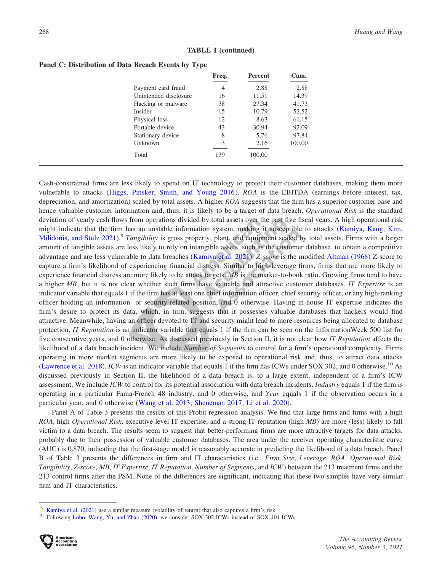|  | <b>TABLE 1 (continued)</b> |
|--|----------------------------|
|--|----------------------------|

|                       | Freq. | <b>Percent</b> | Cum.   |
|-----------------------|-------|----------------|--------|
| Payment card fraud    | 4     | 2.88           | 2.88   |
| Unintended disclosure | 16    | 11.51          | 14.39  |
| Hacking or malware    | 38    | 27.34          | 41.73  |
| <i>Insider</i>        | 15    | 10.79          | 52.52  |
| Physical loss         | 12    | 8.63           | 61.15  |
| Portable device       | 43    | 30.94          | 92.09  |
| Stationary device     | 8     | 5.76           | 97.84  |
| Unknown               | 3     | 2.16           | 100.00 |
| Total                 | 139   | 100.00         |        |

#### Panel C: Distribution of Data Breach Events by Type

Cash-constrained firms are less likely to spend on IT technology to protect their customer databases, making them more vulnerable to attacks ([Higgs, Pinsker, Smith, and Young 2016](#page-22-0)). ROA is the EBITDA (earnings before interest, tax, depreciation, and amortization) scaled by total assets. A higher ROA suggests that the firm has a superior customer base and hence valuable customer information and, thus, it is likely to be a target of data breach. Operational Risk is the standard deviation of yearly cash flows from operations divided by total assets over the past five fiscal years. A high operational risk might indicate that the firm has an unstable information system, making it susceptible to attacks [\(Kamiya, Kang, Kim,](#page-22-0) [Milidonis, and Stulz 2021](#page-22-0)).<sup>9</sup> Tangibility is gross property, plant, and equipment scaled by total assets. Firms with a larger amount of tangible assets are less likely to rely on intangible assets, such as the customer database, to obtain a competitive advantage and are less vulnerable to data breaches [\(Kamiya et al. 2021](#page-22-0)). Z-score is the modified [Altman \(1968\)](#page-20-0) Z-score to capture a firm's likelihood of experiencing financial distress. Similar to high-leverage firms, firms that are more likely to experience financial distress are more likely to be attack targets.  $MB$  is the market-to-book ratio. Growing firms tend to have a higher MB, but it is not clear whether such firms have valuable and attractive customer databases. IT Expertise is an indicator variable that equals 1 if the firm has at least one chief information officer, chief security officer, or any high-ranking officer holding an information- or security-related position, and 0 otherwise. Having in-house IT expertise indicates the firm's desire to protect its data, which, in turn, suggests that it possesses valuable databases that hackers would find attractive. Meanwhile, having an officer devoted to IT and security might lead to more resources being allocated to database protection. IT Reputation is an indicator variable that equals 1 if the firm can be seen on the InformationWeek 500 list for five consecutive years, and 0 otherwise. As discussed previously in Section II, it is not clear how IT Reputation affects the likelihood of a data breach incident. We include *Number of Segments* to control for a firm's operational complexity. Firms operating in more market segments are more likely to be exposed to operational risk and, thus, to attract data attacks [\(Lawrence et al. 2018\)](#page-22-0). ICW is an indicator variable that equals 1 if the firm has ICWs under SOX 302, and 0 otherwise.<sup>10</sup> As discussed previously in Section II, the likelihood of a data breach is, to a large extent, independent of a firm's ICW assessment. We include ICW to control for its potential association with data breach incidents. Industry equals 1 if the firm is operating in a particular Fama-French 48 industry, and 0 otherwise, and Year equals 1 if the observation occurs in a particular year, and 0 otherwise ([Wang et al. 2013;](#page-23-0) [Sheneman 2017;](#page-23-0) [Li et al. 2020](#page-22-0)).

Panel A of Table 3 presents the results of this Probit regression analysis. We find that large firms and firms with a high ROA, high Operational Risk, executive-level IT expertise, and a strong IT reputation (high MB) are more (less) likely to fall victim to a data breach. The results seem to suggest that better-performing firms are more attractive targets for data attacks, probably due to their possession of valuable customer databases. The area under the receiver operating characteristic curve (AUC) is 0.870, indicating that the first-stage model is reasonably accurate in predicting the likelihood of a data breach. Panel B of Table 3 presents the differences in firm and IT characteristics (i.e., Firm Size, Leverage, ROA, Operational Risk, Tangibility, Z-score, MB, IT Expertise, IT Reputation, Number of Segments, and ICW) between the 213 treatment firms and the 213 control firms after the PSM. None of the differences are significant, indicating that these two samples have very similar firm and IT characteristics.

<sup>9</sup> [Kamiya et al. \(2021\)](#page-22-0) use a similar measure (volatility of return) that also captures a firm's risk. <sup>10</sup> Following [Lobo, Wang, Yu, and Zhao \(2020\),](#page-22-0) we consider SOX 302 ICWs instead of SOX 404 ICWs.

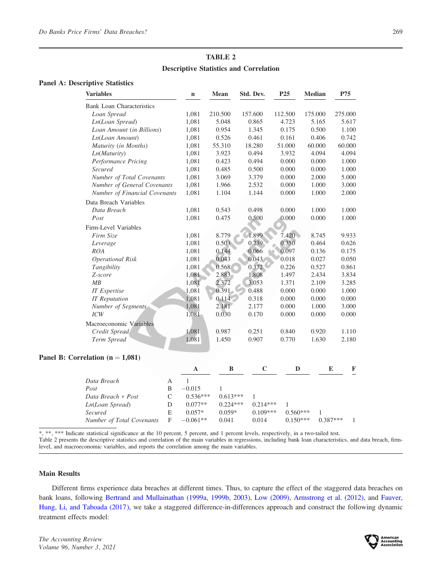# TABLE 2 Descriptive Statistics and Correlation

### Panel A: Descriptive Statistics

| <b>Variables</b>                   | $\mathbf n$                  | <b>Mean</b> | Std. Dev.   | P <sub>25</sub> | <b>Median</b> | P75             |
|------------------------------------|------------------------------|-------------|-------------|-----------------|---------------|-----------------|
| <b>Bank Loan Characteristics</b>   |                              |             |             |                 |               |                 |
| Loan Spread                        | 1,081                        | 210.500     | 157.600     | 112.500         | 175.000       | 275.000         |
| Ln(Loan Spread)                    | 1,081                        | 5.048       | 0.865       | 4.723           | 5.165         | 5.617           |
| Loan Amount (in Billions)          | 1,081                        | 0.954       | 1.345       | 0.175           | 0.500         | 1.100           |
| Ln(Loan Amount)                    | 1,081                        | 0.526       | 0.461       | 0.161           | 0.406         | 0.742           |
| Maturity (in Months)               | 1,081                        | 55.310      | 18.280      | 51.000          | 60.000        | 60.000          |
| Ln(Maturity)                       | 1,081                        | 3.923       | 0.494       | 3.932           | 4.094         | 4.094           |
| Performance Pricing                | 1,081                        | 0.423       | 0.494       | 0.000           | 0.000         | 1.000           |
| Secured                            | 1,081                        | 0.485       | 0.500       | 0.000           | 0.000         | 1.000           |
| Number of Total Covenants          | 1,081                        | 3.069       | 3.379       | 0.000           | 2.000         | 5.000           |
| Number of General Covenants        | 1,081                        | 1.966       | 2.532       | 0.000           | 1.000         | 3.000           |
| Number of Financial Covenants      | 1,081                        | 1.104       | 1.144       | 0.000           | 1.000         | 2.000           |
| Data Breach Variables              |                              |             |             |                 |               |                 |
| Data Breach                        | 1,081                        | 0.543       | 0.498       | 0.000           | 1.000         | 1.000           |
| Post                               | 1,081                        | 0.475       | 0.500       | 0.000           | 0.000         | 1.000           |
| Firm-Level Variables               |                              |             |             |                 |               |                 |
| Firm Size                          | 1,081                        | 8.779       | 1.899       | 7.420           | 8.745         | 9.933           |
| Leverage                           | 1,081                        | 0.503       | 0.239       | 0.350           | 0.464         | 0.626           |
| <i>ROA</i>                         | 1,081                        | 0.144       | 0.066       | 0.097           | 0.136         | 0.175           |
| <b>Operational Risk</b>            | 1,081                        | 0.043       | 0.043       | 0.018           | 0.027         | 0.050           |
| Tangibility                        | 1,081                        | 0.568       | 0.372       | 0.226           | 0.527         | 0.861           |
| Z-score                            | 1,081                        | 2.883       | 1.808       | 1.497           | 2.434         | 3.834           |
| MB                                 | 1,081                        | 2.372       | 3.053       | 1.371           | 2.109         | 3.285           |
| <b>IT</b> Expertise                | 1,081                        | 0.391       | 0.488       | 0.000           | 0.000         | 1.000           |
| <b>IT</b> Reputation               | 1,081                        | 0.114       | 0.318       | 0.000           | 0.000         | 0.000           |
| Number of Segments                 | 1,081                        | 2.181       | 2.177       | 0.000           | 1.000         | 3.000           |
| ICW                                | 1,081                        | 0.030       | 0.170       | 0.000           | 0.000         | 0.000           |
| Macroeconomic Variables            |                              |             |             |                 |               |                 |
| Credit Spread                      | 1,081                        | 0.987       | 0.251       | 0.840           | 0.920         | 1.110           |
| Term Spread                        | 1,081                        | 1.450       | 0.907       | 0.770           | 1.630         | 2.180           |
|                                    |                              |             |             |                 |               |                 |
| Panel B: Correlation $(n = 1,081)$ |                              |             |             |                 |               |                 |
|                                    | $\mathbf{A}$                 | $\bf{B}$    | $\mathbf C$ | D               |               | E<br>F          |
| Data Breach                        | $\mathbf{1}$<br>$\mathbf{A}$ |             |             |                 |               |                 |
| Post                               | $-0.015$<br>B                | 1           |             |                 |               |                 |
| Data Breach * Post                 | $\mathsf C$<br>$0.536***$    | $0.613***$  | 1           |                 |               |                 |
| Ln(Loan Spread)                    | ${\rm D}$<br>$0.077**$       | $0.224***$  | $0.214***$  | $\mathbf{1}$    |               |                 |
| Secured                            | ${\bf E}$<br>$0.057*$        | $0.059*$    | $0.109***$  | $0.560***$      | $\mathbf{1}$  |                 |
| Number of Total Covenants          | $\mathbf F$<br>$-0.061**$    | 0.041       | 0.014       | $0.150***$      |               | $0.387***$<br>1 |
|                                    |                              |             |             |                 |               |                 |

\*, \*\*, \*\*\* Indicate statistical significance at the 10 percent, 5 percent, and 1 percent levels, respectively, in a two-tailed test.

Table 2 presents the descriptive statistics and correlation of the main variables in regressions, including bank loan characteristics, and data breach, firmlevel, and macroeconomic variables, and reports the correlation among the main variables.

#### Main Results

Different firms experience data breaches at different times. Thus, to capture the effect of the staggered data breaches on bank loans, following [Bertrand and Mullainathan \(1999a](#page-21-0), [1999b](#page-21-0), [2003](#page-21-0)), [Low \(2009\),](#page-22-0) [Armstrong et al. \(2012\),](#page-20-0) and [Fauver,](#page-21-0) [Hung, Li, and Taboada \(2017\),](#page-21-0) we take a staggered difference-in-differences approach and construct the following dynamic treatment effects model:

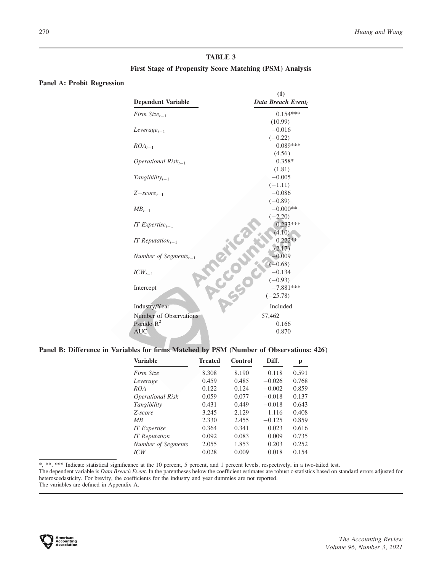# TABLE 3 First Stage of Propensity Score Matching (PSM) Analysis

# Panel A: Probit Regression

|                                                     | (1)                |
|-----------------------------------------------------|--------------------|
| <b>Dependent Variable</b>                           | Data Breach Event, |
| Firm $Size_{t-1}$                                   | $0.154***$         |
|                                                     | (10.99)            |
| $Leverage_{t-1}$                                    | $-0.016$           |
|                                                     | $(-0.22)$          |
| $ROA_{t-1}$                                         | $0.089***$         |
|                                                     | (4.56)             |
| <i>Operational Risk</i> <sub><math>t-1</math></sub> | $0.358*$           |
|                                                     | (1.81)             |
| $Tangibility_{t-1}$                                 | $-0.005$           |
|                                                     | $(-1.11)$          |
| $Z-score_{t-1}$                                     | $-0.086$           |
|                                                     | $(-0.89)$          |
| $MB_{t-1}$                                          | $-0.000**$         |
|                                                     | $(-2.20)$          |
| IT Expertise <sub>t-1</sub>                         | $0.233***$         |
|                                                     | (4.10)             |
| IT Reputation <sub><math>t-1</math></sub>           | $0.222**$          |
|                                                     | (2.17)             |
| Number of Segments <sub>t-1</sub>                   | $-0.009$           |
|                                                     | $(-0.68)$          |
| $ICW_{t-1}$                                         | $-0.134$           |
|                                                     | $(-0.93)$          |
| Intercept                                           | $-7.881***$        |
|                                                     | $(-25.78)$         |
| Industry/Year                                       | Included           |
| Number of Observations                              | 57,462             |
| Pseudo $R^2$                                        | 0.166              |
| <b>AUC</b>                                          | 0.870              |
|                                                     |                    |

# Panel B: Difference in Variables for firms Matched by PSM (Number of Observations: 426)

| <b>Variable</b>         | <b>Treated</b> | Control | Diff.    | p     |
|-------------------------|----------------|---------|----------|-------|
| Firm Size               | 8.308          | 8.190   | 0.118    | 0.591 |
| Leverage                | 0.459          | 0.485   | $-0.026$ | 0.768 |
| ROA                     | 0.122          | 0.124   | $-0.002$ | 0.859 |
| <b>Operational Risk</b> | 0.059          | 0.077   | $-0.018$ | 0.137 |
| Tangibility             | 0.431          | 0.449   | $-0.018$ | 0.643 |
| Z-score                 | 3.245          | 2.129   | 1.116    | 0.408 |
| MB                      | 2.330          | 2.455   | $-0.125$ | 0.859 |
| <b>IT</b> Expertise     | 0.364          | 0.341   | 0.023    | 0.616 |
| <b>IT</b> Reputation    | 0.092          | 0.083   | 0.009    | 0.735 |
| Number of Segments      | 2.055          | 1.853   | 0.203    | 0.252 |
| ICW                     | 0.028          | 0.009   | 0.018    | 0.154 |

\*, \*\*, \*\*\* Indicate statistical significance at the 10 percent, 5 percent, and 1 percent levels, respectively, in a two-tailed test.

The dependent variable is Data Breach Event. In the parentheses below the coefficient estimates are robust z-statistics based on standard errors adjusted for heteroscedasticity. For brevity, the coefficients for the industry and year dummies are not reported.

The variables are defined in Appendix A.

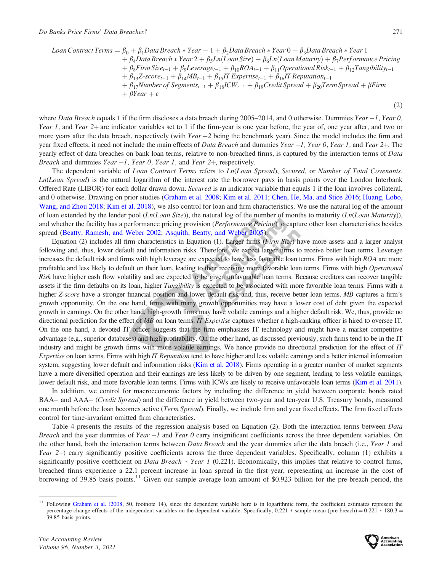$(2)$ 

$$
Loan Contract Terms = \beta_0 + \beta_1 Data\,a
$$
\n
$$
+ \beta_4 Data\,Breach * Year - 1 + \beta_2 Data\,Breach * Year + Year + \beta_3 Data\,Breach * Year + \beta_4 Data\,Breach * Year + \beta_5 Ln(Loan Size) + \beta_6 Ln(Loan Maturity) + \beta_7 Performance Pricing + \beta_8 Firm\,Size_{t-1} + \beta_9 Leverage_{t-1} + \beta_{10} ROA_{t-1} + \beta_{11} Operation_{t-1} + \beta_{12} Tangibility_{t-1} + \beta_{13} Z-score_{t-1} + \beta_{14} MB_{t-1} + \beta_{15} IT\,Expertise_{t-1} + \beta_{16} IT\,Reputation_{t-1} + \beta_{17} Number\,of\,Segments_{t-1} + \beta_{18} ICW_{t-1} + \beta_{19} Credit\,Speed + \beta_{20} Term\,Spread + \beta Firm + \beta Year + \varepsilon
$$

where Data Breach equals 1 if the firm discloses a data breach during 2005–2014, and 0 otherwise. Dummies Year  $-1$ , Year 0, Year 1, and Year 2+ are indicator variables set to 1 if the firm-year is one year before, the year of, one year after, and two or more years after the data breach, respectively (with Year  $-2$  being the benchmark year). Since the model includes the firm and year fixed effects, it need not include the main effects of *Data Breach* and dummies Year  $-1$ , Year 0, Year 1, and Year  $2+$ . The yearly effect of data breaches on bank loan terms, relative to non-breached firms, is captured by the interaction terms of Data Breach and dummies Year  $-1$ , Year 0, Year 1, and Year 2+, respectively.

The dependent variable of Loan Contract Terms refers to Ln(Loan Spread), Secured, or Number of Total Covenants. Ln(Loan Spread) is the natural logarithm of the interest rate the borrower pays in basis points over the London Interbank Offered Rate (LIBOR) for each dollar drawn down. Secured is an indicator variable that equals 1 if the loan involves collateral, and 0 otherwise. Drawing on prior studies [\(Graham et al. 2008;](#page-21-0) [Kim et al. 2011](#page-22-0); [Chen, He, Ma, and Stice 2016](#page-21-0); [Huang, Lobo,](#page-22-0) [Wang, and Zhou 2018](#page-22-0); [Kim et al. 2018\)](#page-22-0), we also control for loan and firm characteristics. We use the natural log of the amount of loan extended by the lender pool  $(Ln(Loan Size))$ , the natural log of the number of months to maturity  $(Ln(Loan Maturity))$ , and whether the facility has a performance pricing provision (Performance Pricing) to capture other loan characteristics besides spread [\(Beatty, Ramesh, and Weber 2002](#page-20-0); [Asquith, Beatty, and Weber 2005](#page-20-0)).

Equation (2) includes all firm characteristics in Equation (1). Larger firms (Firm Size) have more assets and a larger analyst following and, thus, lower default and information risks. Therefore, we expect larger firms to receive better loan terms. Leverage increases the default risk and firms with high leverage are expected to have less favorable loan terms. Firms with high ROA are more profitable and less likely to default on their loan, leading to their receiving more favorable loan terms. Firms with high Operational Risk have higher cash flow volatility and are expected to be given unfavorable loan terms. Because creditors can recover tangible assets if the firm defaults on its loan, higher Tangibility is expected to be associated with more favorable loan terms. Firms with a higher Z-score have a stronger financial position and lower default risk and, thus, receive better loan terms. MB captures a firm's growth opportunity. On the one hand, firms with many growth opportunities may have a lower cost of debt given the expected growth in earnings. On the other hand, high-growth firms may have volatile earnings and a higher default risk. We, thus, provide no directional prediction for the effect of MB on loan terms. IT Expertise captures whether a high-ranking officer is hired to oversee IT. On the one hand, a devoted IT officer suggests that the firm emphasizes IT technology and might have a market competitive advantage (e.g., superior databases) and high profitability. On the other hand, as discussed previously, such firms tend to be in the IT industry and might be growth firms with more volatile earnings. We hence provide no directional prediction for the effect of IT Expertise on loan terms. Firms with high IT Reputation tend to have higher and less volatile earnings and a better internal information system, suggesting lower default and information risks ([Kim et al. 2018\)](#page-22-0). Firms operating in a greater number of market segments have a more diversified operation and their earnings are less likely to be driven by one segment, leading to less volatile earnings, lower default risk, and more favorable loan terms. Firms with ICWs are likely to receive unfavorable loan terms ([Kim et al. 2011](#page-22-0)).

In addition, we control for macroeconomic factors by including the difference in yield between corporate bonds rated BAA- and AAA- (Credit Spread) and the difference in yield between two-year and ten-year U.S. Treasury bonds, measured one month before the loan becomes active (Term Spread). Finally, we include firm and year fixed effects. The firm fixed effects control for time-invariant omitted firm characteristics.

Table 4 presents the results of the regression analysis based on Equation (2). Both the interaction terms between *Data Breach* and the year dummies of Year  $-1$  and Year 0 carry insignificant coefficients across the three dependent variables. On the other hand, both the interaction terms between Data Breach and the year dummies after the data breach (i.e., Year 1 and Year 2+) carry significantly positive coefficients across the three dependent variables. Specifically, column  $(1)$  exhibits a significantly positive coefficient on *Data Breach* \* Year 1 (0.221). Economically, this implies that relative to control firms, breached firms experience a 22.1 percent increase in loan spread in the first year, representing an increase in the cost of borrowing of 39.85 basis points.<sup>11</sup> Given our sample average loan amount of \$0.923 billion for the pre-breach period, the



<sup>11</sup> Following [Graham et al. \(2008,](#page-21-0) 50, footnote 14), since the dependent variable here is in logarithmic form, the coefficient estimates represent the percentage change effects of the independent variables on the dependent variable. Specifically,  $0.221 *$  sample mean (pre-breach) =  $0.221 * 180.3$  = 39.85 basis points.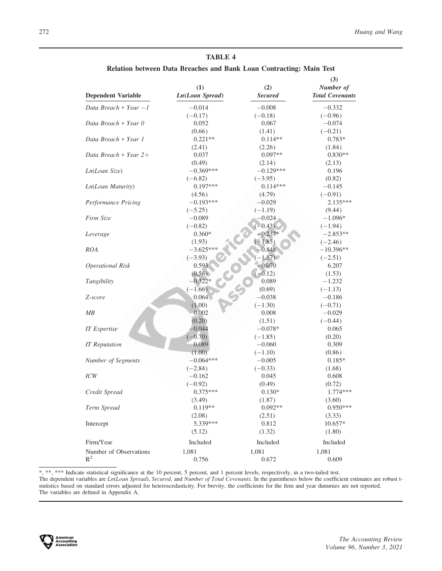Relation between Data Breaches and Bank Loan Contracting: Main Test

| <b>Dependent Variable</b> | (1)<br>Ln(Loan Spread) | (2)<br><b>Secured</b> | (3)<br>Number of<br><b>Total Covenants</b> |
|---------------------------|------------------------|-----------------------|--------------------------------------------|
| Data Breach $*$ Year $-1$ | $-0.014$               | $-0.008$              | $-0.332$                                   |
|                           | $(-0.17)$              | $(-0.18)$             | $(-0.96)$                                  |
| Data Breach * Year 0      | 0.052                  | 0.067                 | $-0.074$                                   |
|                           | (0.66)                 | (1.41)                | $(-0.21)$                                  |
| Data Breach * Year 1      | $0.221**$              | $0.114**$             | $0.783*$                                   |
|                           | (2.41)                 | (2.26)                | (1.84)                                     |
| Data Breach $*$ Year 2+   | 0.037                  | $0.097**$             | $0.830**$                                  |
|                           | (0.49)                 | (2.14)                | (2.13)                                     |
| Ln(Loan Size)             | $-0.369***$            | $-0.129***$           | 0.196                                      |
|                           | $(-6.82)$              | $(-3.95)$             | (0.82)                                     |
| Ln(Loan Maturity)         | $0.197***$             | $0.114***$            | $-0.145$                                   |
|                           | (4.56)                 | (4.79)                | $(-0.91)$                                  |
| Performance Pricing       | $-0.193***$            | $-0.029$              | $2.135***$                                 |
|                           | $(-5.25)$              | $(-1.19)$             | (9.44)                                     |
| Firm Size                 | $-0.089$               | $-0.024$              | $-1.096*$                                  |
|                           | $(-0.82)$              | $(-0.43)$             | $(-1.94)$                                  |
| Leverage                  | $0.360*$               | $-0.237*$             | $-2.853**$                                 |
|                           | (1.93)                 | $(-1.85)$             | $(-2.46)$                                  |
| <b>ROA</b>                | $-3.625***$            | 0.848                 | $-10.396**$                                |
|                           | $(-3.93)$              | $(-1.57)$             | $(-2.51)$                                  |
| <b>Operational Risk</b>   | 0.593                  | $-0.070$              | 6.207                                      |
|                           | (0.56)                 | $(-0.12)$             | (1.53)                                     |
| Tangibility               | $-0.322*$              | 0.089                 | $-1.232$                                   |
|                           | $(-1.66)$              | (0.69)                | $(-1.13)$                                  |
| Z-score                   | 0.064                  | $-0.038$              | $-0.186$                                   |
|                           | (1.00)                 | $(-1.30)$             | $(-0.71)$                                  |
| MB                        | 0.002                  | 0.008                 | $-0.029$                                   |
|                           | (0.20)                 | (1.51)                | $(-0.44)$                                  |
| <b>IT</b> Expertise       | $-0.044$               | $-0.078*$             | 0.065                                      |
|                           | $(-0.70)$              | $(-1.85)$             | (0.20)                                     |
| <b>IT</b> Reputation      | 0.089                  | $-0.060$              | 0.309                                      |
|                           | (1.00)                 | $(-1.10)$             | (0.86)                                     |
| Number of Segments        | $-0.064***$            | $-0.005$              | $0.185*$                                   |
|                           | $(-2.84)$              | $(-0.33)$             | (1.68)                                     |
| ICW                       | $-0.162$               | 0.045                 | 0.608                                      |
|                           | $(-0.92)$              | (0.49)                | (0.72)                                     |
| Credit Spread             | $0.375***$             | $0.130*$              | $1.774***$                                 |
|                           | (3.49)                 | (1.87)                | (3.60)                                     |
| Term Spread               | $0.119**$              | $0.092**$             | $0.950***$                                 |
|                           | (2.08)                 | (2.51)                | (3.33)                                     |
| Intercept                 | 5.339***               | 0.812                 | 10.657*                                    |
|                           | (5.12)                 | (1.32)                | (1.80)                                     |
| Firm/Year                 | Included               | Included              | Included                                   |
| Number of Observations    | 1,081                  | 1,081                 | 1,081                                      |
| $R^2$                     | 0.756                  | 0.672                 | 0.609                                      |

\*, \*\*, \*\*\* Indicate statistical significance at the 10 percent, 5 percent, and 1 percent levels, respectively, in a two-tailed test. The dependent variables are  $Ln(Loan Spred)$ , Secured, and Number of Total Covenants. In the parentheses below the coefficient estimates are robust tstatistics based on standard errors adjusted for heteroscedasticity. For brevity, the coefficients for the firm and year dummies are not reported. The variables are defined in Appendix A.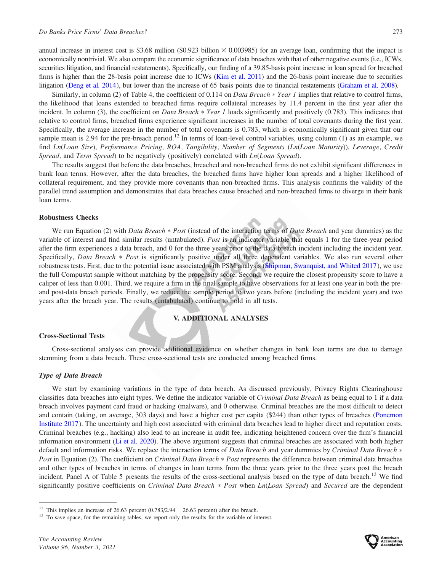annual increase in interest cost is \$3.68 million (\$0.923 billion  $\times$  0.003985) for an average loan, confirming that the impact is economically nontrivial. We also compare the economic significance of data breaches with that of other negative events (i.e., ICWs, securities litigation, and financial restatements). Specifically, our finding of a 39.85-basis point increase in loan spread for breached firms is higher than the 28-basis point increase due to ICWs ([Kim et al. 2011](#page-22-0)) and the 26-basis point increase due to securities litigation [\(Deng et al. 2014](#page-21-0)), but lower than the increase of 65 basis points due to financial restatements ([Graham et al. 2008\)](#page-21-0).

Similarly, in column (2) of Table 4, the coefficient of 0.114 on *Data Breach*  $*$  *Year 1* implies that relative to control firms, the likelihood that loans extended to breached firms require collateral increases by 11.4 percent in the first year after the incident. In column (3), the coefficient on *Data Breach*  $*$  *Year 1* loads significantly and positively (0.783). This indicates that relative to control firms, breached firms experience significant increases in the number of total covenants during the first year. Specifically, the average increase in the number of total covenants is 0.783, which is economically significant given that our sample mean is 2.94 for the pre-breach period.<sup>12</sup> In terms of loan-level control variables, using column (1) as an example, we find Ln(Loan Size), Performance Pricing, ROA, Tangibility, Number of Segments (Ln(Loan Maturity)), Leverage, Credit Spread, and Term Spread) to be negatively (positively) correlated with Ln(Loan Spread).

The results suggest that before the data breaches, breached and non-breached firms do not exhibit significant differences in bank loan terms. However, after the data breaches, the breached firms have higher loan spreads and a higher likelihood of collateral requirement, and they provide more covenants than non-breached firms. This analysis confirms the validity of the parallel trend assumption and demonstrates that data breaches cause breached and non-breached firms to diverge in their bank loan terms.

# Robustness Checks

We run Equation (2) with Data Breach  $*$  Post (instead of the interaction terms of Data Breach and year dummies) as the variable of interest and find similar results (untabulated). Post is an indicator variable that equals 1 for the three-year period after the firm experiences a data breach, and 0 for the three years prior to the data breach incident including the incident year. Specifically, Data Breach \* Post is significantly positive under all three dependent variables. We also run several other robustness tests. First, due to the potential issue associated with PSM analysis [\(Shipman, Swanquist, and Whited 2017](#page-23-0)), we use the full Compustat sample without matching by the propensity score. Second, we require the closest propensity score to have a caliper of less than 0.001. Third, we require a firm in the final sample to have observations for at least one year in both the preand post-data breach periods. Finally, we reduce the sample period to two years before (including the incident year) and two years after the breach year. The results (untabulated) continue to hold in all tests.

# V. ADDITIONAL ANALYSES

# Cross-Sectional Tests

Cross-sectional analyses can provide additional evidence on whether changes in bank loan terms are due to damage stemming from a data breach. These cross-sectional tests are conducted among breached firms.

### Type of Data Breach

We start by examining variations in the type of data breach. As discussed previously, Privacy Rights Clearinghouse classifies data breaches into eight types. We define the indicator variable of Criminal Data Breach as being equal to 1 if a data breach involves payment card fraud or hacking (malware), and 0 otherwise. Criminal breaches are the most difficult to detect and contain (taking, on average, 303 days) and have a higher cost per capita (\$244) than other types of breaches [\(Ponemon](#page-22-0) [Institute 2017](#page-22-0)). The uncertainty and high cost associated with criminal data breaches lead to higher direct and reputation costs. Criminal breaches (e.g., hacking) also lead to an increase in audit fee, indicating heightened concern over the firm's financial information environment [\(Li et al. 2020](#page-22-0)). The above argument suggests that criminal breaches are associated with both higher default and information risks. We replace the interaction terms of Data Breach and year dummies by Criminal Data Breach  $*$ Post in Equation (2). The coefficient on Criminal Data Breach \* Post represents the difference between criminal data breaches and other types of breaches in terms of changes in loan terms from the three years prior to the three years post the breach incident. Panel A of Table 5 presents the results of the cross-sectional analysis based on the type of data breach.<sup>13</sup> We find significantly positive coefficients on *Criminal Data Breach*  $*$  Post when Ln(Loan Spread) and Secured are the dependent



<sup>&</sup>lt;sup>12</sup> This implies an increase of 26.63 percent  $(0.783/2.94 = 26.63$  percent) after the breach.<br><sup>13</sup> To save space, for the remaining tables, we report only the results for the variable of interest.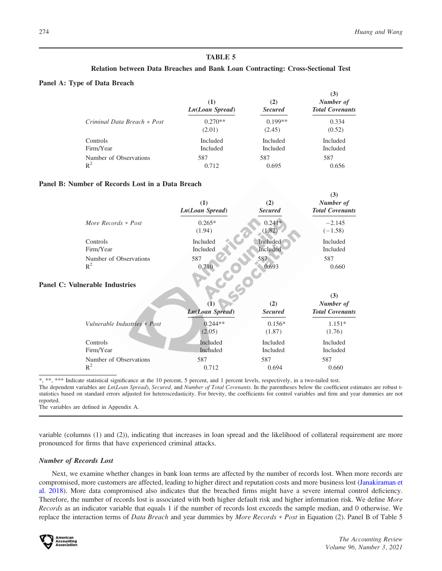$(3)$ 

# TABLE 5

# Relation between Data Breaches and Bank Loan Contracting: Cross-Sectional Test

# Panel A: Type of Data Breach

|                                 | (1)<br>Ln(Loan Spread) | (2)<br><b>Secured</b> | $\cup$<br>Number of<br><b>Total Covenants</b> |
|---------------------------------|------------------------|-----------------------|-----------------------------------------------|
| Criminal Data Breach * Post     | $0.270**$<br>(2.01)    | $0.199**$<br>(2.45)   | 0.334<br>(0.52)                               |
| Controls                        | Included               | Included              | Included                                      |
| Firm/Year                       | Included               | Included              | Included                                      |
| Number of Observations<br>$R^2$ | 587<br>0.712           | 587<br>0.695          | 587<br>0.656                                  |

# Panel B: Number of Records Lost in a Data Breach

|                        | (1)<br>Ln(Loan Spread) | (2)<br><b>Secured</b> | (3)<br>Number of<br><b>Total Covenants</b> |
|------------------------|------------------------|-----------------------|--------------------------------------------|
| More Records $*$ Post  | $0.265*$<br>(1.94)     | $0.241*$<br>(1.82)    | $-2.145$<br>$(-1.58)$                      |
| Controls               | Included               | Included              | Included                                   |
| Firm/Year              | Included               | Included              | Included                                   |
| Number of Observations | 587                    | 587                   | 587                                        |
| $R^2$                  | 0.710                  | 0.693                 | 0.660                                      |

# Panel C: Vulnerable Industries

|                              | (1)<br><b>Ln(Loan Spread)</b> | (2)<br><b>Secured</b> | (3)<br>Number of<br><b>Total Covenants</b> |
|------------------------------|-------------------------------|-----------------------|--------------------------------------------|
| Vulnerable Industries * Post | $0.244**$                     | $0.156*$              | $1.151*$                                   |
|                              | (2.05)                        | (1.87)                | (1.76)                                     |
| Controls                     | Included                      | Included              | Included                                   |
| Firm/Year                    | Included                      | Included              | Included                                   |
| Number of Observations       | 587                           | 587                   | 587                                        |
| $R^2$                        | 0.712                         | 0.694                 | 0.660                                      |

\*, \*\*, \*\*\* Indicate statistical significance at the 10 percent, 5 percent, and 1 percent levels, respectively, in a two-tailed test.

The dependent variables are Ln(Loan Spread), Secured, and Number of Total Covenants. In the parentheses below the coefficient estimates are robust tstatistics based on standard errors adjusted for heteroscedasticity. For brevity, the coefficients for control variables and firm and year dummies are not reported.

The variables are defined in Appendix A.

variable (columns (1) and (2)), indicating that increases in loan spread and the likelihood of collateral requirement are more pronounced for firms that have experienced criminal attacks.

#### Number of Records Lost

Next, we examine whether changes in bank loan terms are affected by the number of records lost. When more records are compromised, more customers are affected, leading to higher direct and reputation costs and more business lost ([Janakiraman et](#page-22-0) [al. 2018\)](#page-22-0). More data compromised also indicates that the breached firms might have a severe internal control deficiency. Therefore, the number of records lost is associated with both higher default risk and higher information risk. We define More Records as an indicator variable that equals 1 if the number of records lost exceeds the sample median, and 0 otherwise. We replace the interaction terms of Data Breach and year dummies by More Records \* Post in Equation (2). Panel B of Table 5

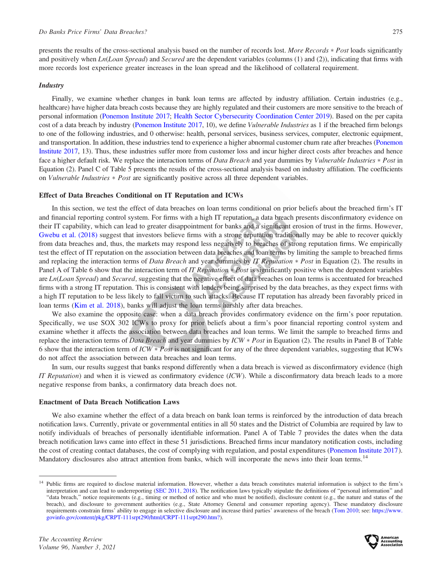presents the results of the cross-sectional analysis based on the number of records lost. More Records  $*$  Post loads significantly and positively when  $Ln(Loan Spread)$  and Secured are the dependent variables (columns (1) and (2)), indicating that firms with more records lost experience greater increases in the loan spread and the likelihood of collateral requirement.

#### **Industry**

Finally, we examine whether changes in bank loan terms are affected by industry affiliation. Certain industries (e.g., healthcare) have higher data breach costs because they are highly regulated and their customers are more sensitive to the breach of personal information [\(Ponemon Institute 2017](#page-22-0); [Health Sector Cybersecurity Coordination Center 2019\)](#page-22-0). Based on the per capita cost of a data breach by industry ([Ponemon Institute 2017](#page-22-0), 10), we define Vulnerable Industries as 1 if the breached firm belongs to one of the following industries, and 0 otherwise: health, personal services, business services, computer, electronic equipment, and transportation. In addition, these industries tend to experience a higher abnormal customer churn rate after breaches ([Ponemon](#page-22-0) [Institute 2017,](#page-22-0) 13). Thus, these industries suffer more from customer loss and incur higher direct costs after breaches and hence face a higher default risk. We replace the interaction terms of Data Breach and year dummies by Vulnerable Industries \* Post in Equation (2). Panel C of Table 5 presents the results of the cross-sectional analysis based on industry affiliation. The coefficients on Vulnerable Industries \* Post are significantly positive across all three dependent variables.

#### Effect of Data Breaches Conditional on IT Reputation and ICWs

In this section, we test the effect of data breaches on loan terms conditional on prior beliefs about the breached firm's IT and financial reporting control system. For firms with a high IT reputation, a data breach presents disconfirmatory evidence on their IT capability, which can lead to greater disappointment for banks and a significant erosion of trust in the firms. However, [Gwebu et al. \(2018\)](#page-21-0) suggest that investors believe firms with a strong reputation traditionally may be able to recover quickly from data breaches and, thus, the markets may respond less negatively to breaches of strong reputation firms. We empirically test the effect of IT reputation on the association between data breaches and loan terms by limiting the sample to breached firms and replacing the interaction terms of *Data Breach* and year dummies by *IT Reputation*  $* Post$  in Equation (2). The results in Panel A of Table 6 show that the interaction term of *IT Reputation* \* *Post* is significantly positive when the dependent variables are Ln(Loan Spread) and Secured, suggesting that the negative effect of data breaches on loan terms is accentuated for breached firms with a strong IT reputation. This is consistent with lenders being surprised by the data breaches, as they expect firms with a high IT reputation to be less likely to fall victim to such attacks. Because IT reputation has already been favorably priced in loan terms ([Kim et al. 2018](#page-22-0)), banks will adjust the loan terms harshly after data breaches.

We also examine the opposite case: when a data breach provides confirmatory evidence on the firm's poor reputation. Specifically, we use SOX 302 ICWs to proxy for prior beliefs about a firm's poor financial reporting control system and examine whether it affects the association between data breaches and loan terms. We limit the sample to breached firms and replace the interaction terms of Data Breach and year dummies by ICW \* Post in Equation (2). The results in Panel B of Table 6 show that the interaction term of  $ICW * Post$  is not significant for any of the three dependent variables, suggesting that ICWs do not affect the association between data breaches and loan terms.

In sum, our results suggest that banks respond differently when a data breach is viewed as disconfirmatory evidence (high IT Reputation) and when it is viewed as confirmatory evidence  $(ICW)$ . While a disconfirmatory data breach leads to a more negative response from banks, a confirmatory data breach does not.

#### Enactment of Data Breach Notification Laws

We also examine whether the effect of a data breach on bank loan terms is reinforced by the introduction of data breach notification laws. Currently, private or governmental entities in all 50 states and the District of Columbia are required by law to notify individuals of breaches of personally identifiable information. Panel A of Table 7 provides the dates when the data breach notification laws came into effect in these 51 jurisdictions. Breached firms incur mandatory notification costs, including the cost of creating contact databases, the cost of complying with regulation, and postal expenditures ([Ponemon Institute 2017](#page-22-0)). Mandatory disclosures also attract attention from banks, which will incorporate the news into their loan terms.<sup>14</sup>



<sup>&</sup>lt;sup>14</sup> Public firms are required to disclose material information. However, whether a data breach constitutes material information is subject to the firm's interpretation and can lead to underreporting ([SEC 2011,](#page-23-0) [2018](#page-23-0)). The notification laws typically stipulate the definitions of ''personal information'' and ''data breach,'' notice requirements (e.g., timing or method of notice and who must be notified), disclosure content (e.g., the nature and status of the breach), and disclosure to government authorities (e.g., State Attorney General and consumer reporting agency). These mandatory disclosure requirements constrain firms' ability to engage in selective disclosure and increase third parties' awareness of the breach [\(Tom 2010;](#page-23-0) see: [https://www.](https://www.govinfo.gov/content/pkg/CRPT-111srpt290/html/CRPT-111srpt290.htm?) [govinfo.gov/content/pkg/CRPT-111srpt290/html/CRPT-111srpt290.htm?\)](https://www.govinfo.gov/content/pkg/CRPT-111srpt290/html/CRPT-111srpt290.htm?).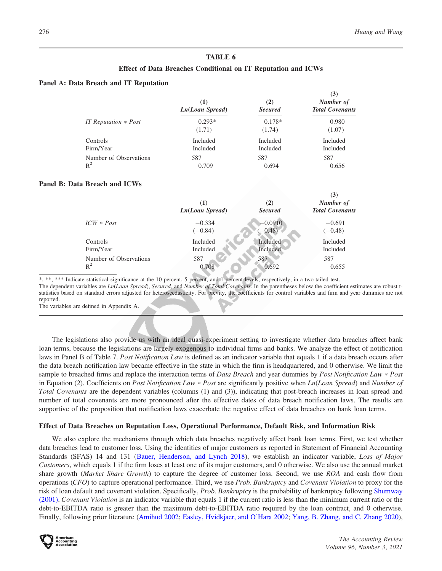$(3)$ 

# TABLE 6

# Effect of Data Breaches Conditional on IT Reputation and ICWs

#### Panel A: Data Breach and IT Reputation

|                                 | (1)<br>$Ln(Loan\;Spread)$ | (2)<br><b>Secured</b> | 1J I<br>Number of<br><b>Total Covenants</b> |
|---------------------------------|---------------------------|-----------------------|---------------------------------------------|
| IT Reputation $*$ Post          | $0.293*$<br>(1.71)        | $0.178*$<br>(1.74)    | 0.980<br>(1.07)                             |
| Controls                        | Included                  | Included              | Included                                    |
| Firm/Year                       | Included                  | Included              | Included                                    |
| Number of Observations<br>$R^2$ | 587<br>0.709              | 587<br>0.694          | 587<br>0.656                                |

#### Panel B: Data Breach and ICWs

|                                 | (1)<br>Ln(Loan Spread) | (2)<br><b>Secured</b>  | (3)<br>Number of<br><b>Total Covenants</b> |
|---------------------------------|------------------------|------------------------|--------------------------------------------|
| $ICW * Post$                    | $-0.334$<br>$(-0.84)$  | $-0.0910$<br>$(-0.48)$ | $-0.691$<br>$(-0.48)$                      |
| Controls                        | Included               | Included               | Included                                   |
| Firm/Year                       | Included               | Included               | Included                                   |
| Number of Observations<br>$R^2$ | 587<br>0.708           | 587<br>0.692           | 587<br>0.655                               |

\*, \*\*, \*\*\* Indicate statistical significance at the 10 percent, 5 percent, and 1 percent levels, respectively, in a two-tailed test.

The dependent variables are  $Ln(Loan Spread)$ , Secured, and Number of Total Covenants. In the parentheses below the coefficient estimates are robust tstatistics based on standard errors adjusted for heteroscedasticity. For brevity, the coefficients for control variables and firm and year dummies are not reported.

The variables are defined in Appendix A.

The legislations also provide us with an ideal quasi-experiment setting to investigate whether data breaches affect bank loan terms, because the legislations are largely exogenous to individual firms and banks. We analyze the effect of notification laws in Panel B of Table 7. Post Notification Law is defined as an indicator variable that equals 1 if a data breach occurs after the data breach notification law became effective in the state in which the firm is headquartered, and 0 otherwise. We limit the sample to breached firms and replace the interaction terms of *Data Breach* and year dummies by *Post Notification Law*  $*$  *Post* in Equation (2). Coefficients on Post Notification Law \* Post are significantly positive when Ln(Loan Spread) and Number of Total Covenants are the dependent variables (columns (1) and (3)), indicating that post-breach increases in loan spread and number of total covenants are more pronounced after the effective dates of data breach notification laws. The results are supportive of the proposition that notification laws exacerbate the negative effect of data breaches on bank loan terms.

#### Effect of Data Breaches on Reputation Loss, Operational Performance, Default Risk, and Information Risk

We also explore the mechanisms through which data breaches negatively affect bank loan terms. First, we test whether data breaches lead to customer loss. Using the identities of major customers as reported in Statement of Financial Accounting Standards (SFAS) 14 and 131 [\(Bauer, Henderson, and Lynch 2018](#page-20-0)), we establish an indicator variable, Loss of Major Customers, which equals 1 if the firm loses at least one of its major customers, and 0 otherwise. We also use the annual market share growth (*Market Share Growth*) to capture the degree of customer loss. Second, we use ROA and cash flow from operations (CFO) to capture operational performance. Third, we use Prob. Bankruptcy and Covenant Violation to proxy for the risk of loan default and covenant violation. Specifically, *Prob. Bankruptcy* is the probability of bankruptcy following [Shumway](#page-23-0) [\(2001\)](#page-23-0). Covenant Violation is an indicator variable that equals 1 if the current ratio is less than the minimum current ratio or the debt-to-EBITDA ratio is greater than the maximum debt-to-EBITDA ratio required by the loan contract, and 0 otherwise. Finally, following prior literature [\(Amihud 2002;](#page-20-0) [Easley, Hvidkjaer, and O'Hara 2002](#page-21-0); [Yang, B. Zhang, and C. Zhang 2020](#page-23-0)),

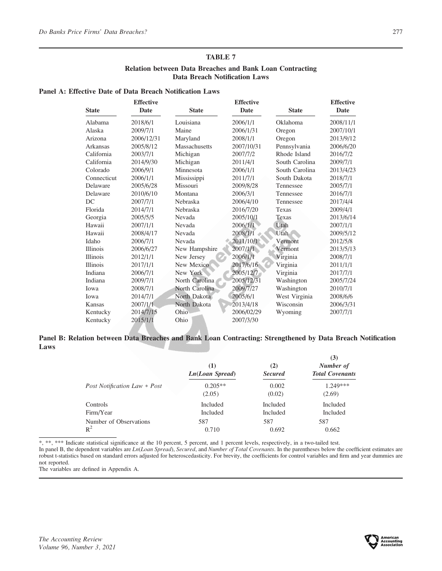# Relation between Data Breaches and Bank Loan Contracting Data Breach Notification Laws

# Panel A: Effective Date of Data Breach Notification Laws

|                 | <b>Effective</b> |                 | <b>Effective</b> |                | <b>Effective</b> |
|-----------------|------------------|-----------------|------------------|----------------|------------------|
| <b>State</b>    | Date             | <b>State</b>    | Date             | <b>State</b>   | Date             |
| Alabama         | 2018/6/1         | Louisiana       | 2006/1/1         | Oklahoma       | 2008/11/1        |
| Alaska          | 2009/7/1         | Maine           | 2006/1/31        | Oregon         | 2007/10/1        |
| Arizona         | 2006/12/31       | Maryland        | 2008/1/1         | Oregon         | 2013/9/12        |
| Arkansas        | 2005/8/12        | Massachusetts   | 2007/10/31       | Pennsylvania   | 2006/6/20        |
| California      | 2003/7/1         | Michigan        | 2007/7/2         | Rhode Island   | 2016/7/2         |
| California      | 2014/9/30        | Michigan        | 2011/4/1         | South Carolina | 2009/7/1         |
| Colorado        | 2006/9/1         | Minnesota       | 2006/1/1         | South Carolina | 2013/4/23        |
| Connecticut     | 2006/1/1         | Mississippi     | 2011/7/1         | South Dakota   | 2018/7/1         |
| Delaware        | 2005/6/28        | Missouri        | 2009/8/28        | Tennessee      | 2005/7/1         |
| Delaware        | 2010/6/10        | Montana         | 2006/3/1         | Tennessee      | 2016/7/1         |
| DC              | 2007/7/1         | Nebraska        | 2006/4/10        | Tennessee      | 2017/4/4         |
| Florida         | 2014/7/1         | <b>Nebraska</b> | 2016/7/20        | Texas          | 2009/4/1         |
| Georgia         | 2005/5/5         | Nevada          | 2005/10/1        | Texas          | 2013/6/14        |
| Hawaii          | 2007/1/1         | Nevada          | 2006/1/1         | Utah           | 2007/1/1         |
| Hawaii          | 2008/4/17        | Nevada          | 2008/1/1         | <b>Utah</b>    | 2009/5/12        |
| Idaho           | 2006/7/1         | Nevada          | 2011/10/1        | Vermont        | 2012/5/8         |
| <b>Illinois</b> | 2006/6/27        | New Hampshire   | 2007/1/1         | Vermont        | 2013/5/13        |
| <b>Illinois</b> | 2012/1/1         | New Jersey      | 2006/1/1         | Virginia       | 2008/7/1         |
| <b>Illinois</b> | 2017/1/1         | New Mexico      | 2017/6/16        | Virginia       | 2011/1/1         |
| Indiana         | 2006/7/1         | New York        | 2005/12/7        | Virginia       | 2017/7/1         |
| Indiana         | 2009/7/1         | North Carolina  | 2005/12/31       | Washington     | 2005/7/24        |
| Iowa            | 2008/7/1         | North Carolina  | 2009/7/27        | Washington     | 2010/7/1         |
| Iowa            | 2014/7/1         | North Dakota    | 2005/6/1         | West Virginia  | 2008/6/6         |
| <b>Kansas</b>   | 2007/1/1         | North Dakota    | 2013/4/18        | Wisconsin      | 2006/3/31        |
| Kentucky        | 2014/7/15        | Ohio            | 2006/02/29       | Wyoming        | 2007/7/1         |
| Kentucky        | 2015/1/1         | Ohio            | 2007/3/30        |                |                  |

# Panel B: Relation between Data Breaches and Bank Loan Contracting: Strengthened by Data Breach Notification Laws

|                                     | (1)<br>Ln(Loan Spread) | (2)<br><b>Secured</b> | (3)<br>Number of<br><b>Total Covenants</b> |
|-------------------------------------|------------------------|-----------------------|--------------------------------------------|
| <i>Post Notification Law * Post</i> | $0.205**$<br>(2.05)    | 0.002<br>(0.02)       | $1.249***$<br>(2.69)                       |
| Controls                            | <b>Included</b>        | <b>Included</b>       | <b>Included</b>                            |
| Firm/Year                           | <b>Included</b>        | <b>Included</b>       | <b>Included</b>                            |
| Number of Observations              | 587                    | 587                   | 587                                        |
| $R^2$                               | 0.710                  | 0.692                 | 0.662                                      |

\*, \*\*, \*\*\* Indicate statistical significance at the 10 percent, 5 percent, and 1 percent levels, respectively, in a two-tailed test.

In panel B, the dependent variables are Ln(Loan Spread), Secured, and Number of Total Covenants. In the parentheses below the coefficient estimates are robust t-statistics based on standard errors adjusted for heteroscedasticity. For brevity, the coefficients for control variables and firm and year dummies are not reported.

The variables are defined in Appendix A.

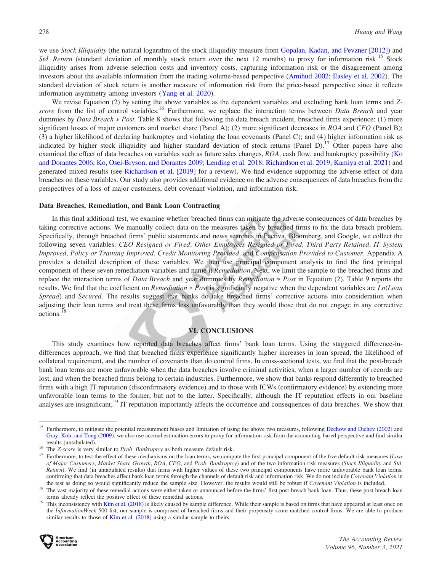we use Stock Illiquidity (the natural logarithm of the stock illiquidity measure from [Gopalan, Kadan, and Pevzner \[2012\]\)](#page-21-0) and *Std. Return* (standard deviation of monthly stock return over the next 12 months) to proxy for information risk.<sup>15</sup> Stock illiquidity arises from adverse selection costs and inventory costs, capturing information risk or the disagreement among investors about the available information from the trading volume-based perspective ([Amihud 2002;](#page-20-0) [Easley et al. 2002\)](#page-21-0). The standard deviation of stock return is another measure of information risk from the price-based perspective since it reflects information asymmetry among investors ([Yang et al. 2020](#page-23-0)).

We revise Equation (2) by setting the above variables as the dependent variables and excluding bank loan terms and Zscore from the list of control variables.<sup>16</sup> Furthermore, we replace the interaction terms between *Data Breach* and year dummies by *Data Breach* \* *Post*. Table 8 shows that following the data breach incident, breached firms experience: (1) more significant losses of major customers and market share (Panel A); (2) more significant decreases in  $ROA$  and  $CFO$  (Panel B); (3) a higher likelihood of declaring bankruptcy and violating the loan covenants (Panel C); and (4) higher information risk as indicated by higher stock illiquidity and higher standard deviation of stock returns (Panel D).<sup>17</sup> Other papers have also examined the effect of data breaches on variables such as future sales changes, ROA, cash flow, and bankruptcy possibility [\(Ko](#page-22-0) [and Dorantes 2006;](#page-22-0) [Ko, Osei-Bryson, and Dorantes 2009](#page-22-0); [Lending et al. 2018](#page-22-0); [Richardson et al. 2019;](#page-22-0) [Kamiya et al. 2021\)](#page-22-0) and generated mixed results (see [Richardson et al. \[2019\]](#page-22-0) for a review). We find evidence supporting the adverse effect of data breaches on these variables. Our study also provides additional evidence on the adverse consequences of data breaches from the perspectives of a loss of major customers, debt covenant violation, and information risk.

#### Data Breaches, Remediation, and Bank Loan Contracting

In this final additional test, we examine whether breached firms can mitigate the adverse consequences of data breaches by taking corrective actions. We manually collect data on the measures taken by breached firms to fix the data breach problem. Specifically, through breached firms' public statements and news searches in Factiva, Bloomberg, and Google, we collect the following seven variables: CEO Resigned or Fired, Other Employees Resigned or Fired, Third Party Retained, IT System Improved, Policy or Training Improved, Credit Monitoring Provided, and Compensation Provided to Customer. Appendix A provides a detailed description of these variables. We then use principal component analysis to find the first principal component of these seven remediation variables and name it Remediation. Next, we limit the sample to the breached firms and replace the interaction terms of *Data Breach* and year dummies by *Remediation* \* *Post* in Equation (2). Table 9 reports the results. We find that the coefficient on *Remediation*  $* Post$  is significantly negative when the dependent variables are  $Ln(Loan)$ Spread) and Secured. The results suggest that banks do take breached firms' corrective actions into consideration when adjusting their loan terms and treat these firms less unfavorably than they would those that do not engage in any corrective actions.<sup>18</sup>

# VI. CONCLUSIONS

This study examines how reported data breaches affect firms' bank loan terms. Using the staggered difference-indifferences approach, we find that breached firms experience significantly higher increases in loan spread, the likelihood of collateral requirement, and the number of covenants than do control firms. In cross-sectional tests, we find that the post-breach bank loan terms are more unfavorable when the data breaches involve criminal activities, when a larger number of records are lost, and when the breached firms belong to certain industries. Furthermore, we show that banks respond differently to breached firms with a high IT reputation (disconfirmatory evidence) and to those with ICWs (confirmatory evidence) by extending more unfavorable loan terms to the former, but not to the latter. Specifically, although the IT reputation effects in our baseline analyses are insignificant,<sup>19</sup> IT reputation importantly affects the occurrence and consequences of data breaches. We show that

the InformationWeek 500 list, our sample is comprised of breached firms and their propensity score matched control firms. We are able to produce similar results to those of [Kim et al. \(2018\)](#page-22-0) using a similar sample to theirs.



<sup>&</sup>lt;sup>15</sup> Furthermore, to mitigate the potential measurement biases and limitation of using the above two measures, following [Dechow and Dichev \(2002\)](#page-21-0) and [Gray, Koh, and Tong \(2009\),](#page-21-0) we also use accrual estimation errors to proxy for information risk from the accounting-based perspective and find similar

results (untabulated).<br><sup>16</sup> The Z-score is very similar to *Prob. Bankruptcy* as both measure default risk.<br><sup>17</sup> Furthermore, to test the effect of these mechanisms on the loan terms, we compute the first principal compone of Major Customers, Market Share Growth, ROA, CFO, and Prob. Bankruptcy) and of the two information risk measures (Stock Illiquidity and Std. Return). We find (in untabulated results) that firms with higher values of these two principal components have more unfavorable bank loan terms, confirming that data breaches affect bank loan terms through the channels of default risk and information risk. We do not include Covenant Violation in the test as doing so would significantly reduce the sample size. Howev

<sup>&</sup>lt;sup>18</sup> The vast majority of these remedial actions were either taken or announced before the firms' first post-breach bank loan. Thus, these post-breach loan terms already reflect the positive effect of these remedial actions.<br><sup>19</sup> This inconsistency with [Kim et al. \(2018\)](#page-22-0) is likely caused by sample difference. While their sample is based on firms that have appeared at least on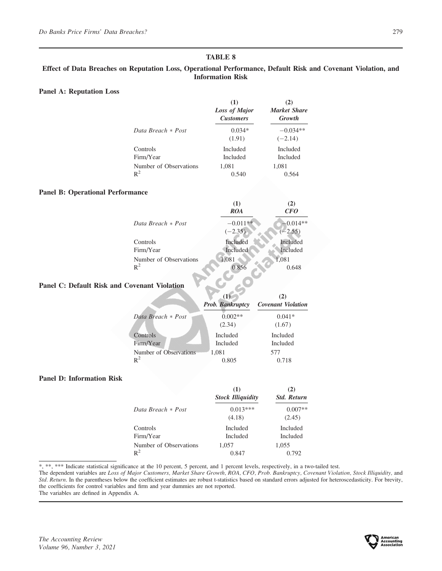# Effect of Data Breaches on Reputation Loss, Operational Performance, Default Risk and Covenant Violation, and Information Risk

# Panel A: Reputation Loss

|                        | (1)<br><b>Loss of Major</b><br><b>Customers</b> | <b>Market Share</b><br>Growth |
|------------------------|-------------------------------------------------|-------------------------------|
| Data Breach * Post     | $0.034*$<br>(1.91)                              | $-0.034**$<br>$(-2.14)$       |
| Controls               | Included                                        | <b>Included</b>               |
| Firm/Year              | Included                                        | <b>Included</b>               |
| Number of Observations | 1,081                                           | 1,081                         |
| $R^2$                  | 0.540                                           | 0.564                         |

#### Panel B: Operational Performance

|                                     | (1)<br><b>ROA</b>           | (2)<br>CFO              |
|-------------------------------------|-----------------------------|-------------------------|
| Data Breach * Post                  | $-0.011**$<br>$(-2.35)$     | $-0.014**$<br>$(-2.55)$ |
| Controls<br>Firm/Year               | Included<br><b>Included</b> | Included<br>Included    |
| Number of Observations<br>$\rm R^2$ | 1,081                       | 1,081<br>0.648          |

# Panel C: Default Risk and Covenant Violation

|                        | (1)<br>Prob. Bankruptcy | <b>Covenant Violation</b> |
|------------------------|-------------------------|---------------------------|
| Data Breach * Post     | $0.002**$<br>(2.34)     | $0.041*$<br>(1.67)        |
| Controls               | <b>Included</b>         | <b>Included</b>           |
| Firm/Year              | <b>Included</b>         | <b>Included</b>           |
| Number of Observations | 1,081                   | 577                       |
| $\mathbb{R}^2$         | 0.805                   | 0.718                     |

# Panel D: Information Risk

|                        | (1)<br><b>Stock Illiquidity</b> | (2)<br><b>Std. Return</b> |
|------------------------|---------------------------------|---------------------------|
| Data Breach * Post     | $0.013***$<br>(4.18)            | $0.007**$<br>(2.45)       |
| Controls               | <b>Included</b>                 | <b>Included</b>           |
| Firm/Year              | <b>Included</b>                 | <b>Included</b>           |
| Number of Observations | 1,057                           | 1,055                     |
| $R^2$                  | 0.847                           | 0.792                     |

\*, \*\*, \*\*\* Indicate statistical significance at the 10 percent, 5 percent, and 1 percent levels, respectively, in a two-tailed test.

The dependent variables are Loss of Major Customers, Market Share Growth, ROA, CFO, Prob. Bankruptcy, Covenant Violation, Stock Illiquidity, and Std. Return. In the parentheses below the coefficient estimates are robust t-statistics based on standard errors adjusted for heteroscedasticity. For brevity, the coefficients for control variables and firm and year dummies are not reported.

The variables are defined in Appendix A.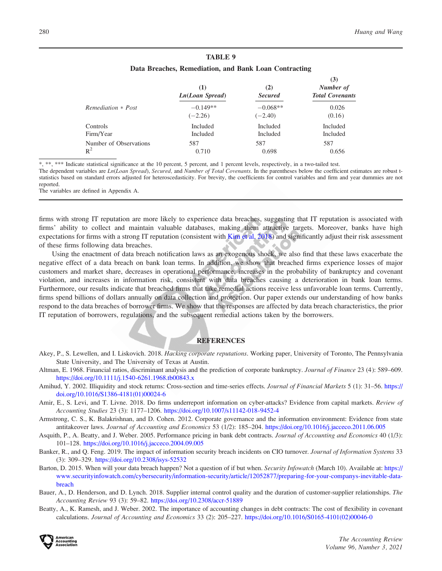### Data Breaches, Remediation, and Bank Loan Contracting

<span id="page-20-0"></span>

|                        | (1)<br>Ln(Loan Spread) | (2)<br><b>Secured</b> | (3)<br>Number of<br><b>Total Covenants</b> |
|------------------------|------------------------|-----------------------|--------------------------------------------|
| Remediation * Post     | $-0.149**$             | $-0.068**$            | 0.026                                      |
|                        | $(-2.26)$              | $(-2.40)$             | (0.16)                                     |
| <b>Controls</b>        | Included               | Included              | <b>Included</b>                            |
| Firm/Year              | Included               | Included              | Included                                   |
| Number of Observations | 587                    | 587                   | 587                                        |
| $R^2$                  | 0.710                  | 0.698                 | 0.656                                      |

\*, \*\*, \*\*\* Indicate statistical significance at the 10 percent, 5 percent, and 1 percent levels, respectively, in a two-tailed test. The dependent variables are Ln(Loan Spread), Secured, and Number of Total Covenants. In the parentheses below the coefficient estimates are robust tstatistics based on standard errors adjusted for heteroscedasticity. For brevity, the coefficients for control variables and firm and year dummies are not reported.

The variables are defined in Appendix A.

firms with strong IT reputation are more likely to experience data breaches, suggesting that IT reputation is associated with firms' ability to collect and maintain valuable databases, making them attractive targets. Moreover, banks have high expectations for firms with a strong IT reputation (consistent with [Kim et al. 2018\)](#page-22-0) and significantly adjust their risk assessment of these firms following data breaches.

Using the enactment of data breach notification laws as an exogenous shock, we also find that these laws exacerbate the negative effect of a data breach on bank loan terms. In addition, we show that breached firms experience losses of major customers and market share, decreases in operational performance, increases in the probability of bankruptcy and covenant violation, and increases in information risk, consistent with data breaches causing a deterioration in bank loan terms. Furthermore, our results indicate that breached firms that take remedial actions receive less unfavorable loan terms. Currently, firms spend billions of dollars annually on data collection and protection. Our paper extends our understanding of how banks respond to the data breaches of borrower firms. We show that the responses are affected by data breach characteristics, the prior IT reputation of borrowers, regulations, and the subsequent remedial actions taken by the borrowers.

## **REFERENCES**

- Akey, P., S. Lewellen, and I. Liskovich. 2018. Hacking corporate reputations. Working paper, University of Toronto, The Pennsylvania State University, and The University of Texas at Austin.
- Altman, E. 1968. Financial ratios, discriminant analysis and the prediction of corporate bankruptcy. Journal of Finance 23 (4): 589–609. <https://doi.org/10.1111/j.1540-6261.1968.tb00843.x>
- Amihud, Y. 2002. Illiquidity and stock returns: Cross-section and time-series effects. Journal of Financial Markets 5 (1): 31–56. [https://](https://doi.org/10.1016/S1386-4181(01)00024-6) [doi.org/10.1016/S1386-4181\(01\)00024-6](https://doi.org/10.1016/S1386-4181(01)00024-6)
- Amir, E., S. Levi, and T. Livne. 2018. Do firms underreport information on cyber-attacks? Evidence from capital markets. Review of Accounting Studies 23 (3): 1177–1206. <https://doi.org/10.1007/s11142-018-9452-4>
- Armstrong, C. S., K. Balakrishnan, and D. Cohen. 2012. Corporate governance and the information environment: Evidence from state antitakeover laws. Journal of Accounting and Economics 53 (1/2): 185-204. <https://doi.org/10.1016/j.jacceco.2011.06.005>
- Asquith, P., A. Beatty, and J. Weber. 2005. Performance pricing in bank debt contracts. Journal of Accounting and Economics 40 (1/3): 101–128. <https://doi.org/10.1016/j.jacceco.2004.09.005>
- Banker, R., and Q. Feng. 2019. The impact of information security breach incidents on CIO turnover. Journal of Information Systems 33 (3): 309–329. <https://doi.org/10.2308/isys-52532>
- Barton, D. 2015. When will your data breach happen? Not a question of if but when. Security Infowatch (March 10). Available at: [https://](https://www.securityinfowatch.com/cybersecurity/information-security/article/12052877/preparing-for-your-companys-inevitable-data-breach) [www.securityinfowatch.com/cybersecurity/information-security/article/12052877/preparing-for-your-companys-inevitable-data](https://www.securityinfowatch.com/cybersecurity/information-security/article/12052877/preparing-for-your-companys-inevitable-data-breach)[breach](https://www.securityinfowatch.com/cybersecurity/information-security/article/12052877/preparing-for-your-companys-inevitable-data-breach)
- Bauer, A., D. Henderson, and D. Lynch. 2018. Supplier internal control quality and the duration of customer-supplier relationships. The Accounting Review 93 (3): 59–82. <https://doi.org/10.2308/accr-51889>
- Beatty, A., K. Ramesh, and J. Weber. 2002. The importance of accounting changes in debt contracts: The cost of flexibility in covenant calculations. Journal of Accounting and Economics 33 (2): 205–227. [https://doi.org/10.1016/S0165-4101\(02\)00046-0](https://doi.org/10.1016/S0165-4101(02)00046-0)

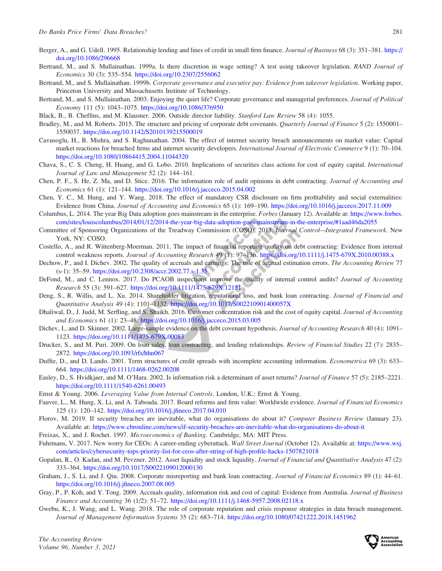- <span id="page-21-0"></span>Berger, A., and G. Udell. 1995. Relationship lending and lines of credit in small firm finance. Journal of Business 68 (3): 351–381. [https://](https://doi.org/10.1086/296668) [doi.org/10.1086/296668](https://doi.org/10.1086/296668)
- Bertrand, M., and S. Mullainathan. 1999a. Is there discretion in wage setting? A test using takeover legislation. RAND Journal of Economics 30 (3): 535–554. <https://doi.org/10.2307/2556062>
- Bertrand, M., and S. Mullainathan. 1999b. Corporate governance and executive pay: Evidence from takeover legislation. Working paper, Princeton University and Massachusetts Institute of Technology.
- Bertrand, M., and S. Mullainathan. 2003. Enjoying the quiet life? Corporate governance and managerial preferences. Journal of Political Economy 111 (5): 1043–1075. <https://doi.org/10.1086/376950>
- Black, B., B. Cheffins, and M. Klausner. 2006. Outside director liability. Stanford Law Review 58 (4): 1055.
- Bradley, M., and M. Roberts. 2015. The structure and pricing of corporate debt covenants. *Quarterly Journal of Finance* 5 (2): 1550001– 1550037. <https://doi.org/10.1142/S2010139215500019>
- Cavusoglu, H., B. Mishra, and S. Raghunathan. 2004. The effect of internet security breach announcements on market value: Capital market reactions for breached firms and internet security developers. *International Journal of Electronic Commerce* 9 (1): 70–104. <https://doi.org/10.1080/10864415.2004.11044320>
- Chava, S., C. S. Cheng, H. Huang, and G. Lobo. 2010. Implications of securities class actions for cost of equity capital. International Journal of Law and Management 52 (2): 144–161.
- Chen, P. F., S. He, Z. Ma, and D. Stice. 2016. The information role of audit opinions in debt contracting. Journal of Accounting and Economics 61 (1): 121–144. <https://doi.org/10.1016/j.jacceco.2015.04.002>
- Chen, Y. C., M. Hung, and Y. Wang. 2018. The effect of mandatory CSR disclosure on firm profitability and social externalities: Evidence from China. Journal of Accounting and Economics 65 (1): 169–190. <https://doi.org/10.1016/j.jacceco.2017.11.009>
- Columbus, L. 2014. The year Big Data adoption goes mainstream in the enterprise. Forbes (January 12). Available at: [https://www.forbes.](https://www.forbes.com/sites/louiscolumbus/2014/01/12/2014-the-year-big-data-adoption-goes-mainstream-in-the-enterprise/#1aad46da2055) [com/sites/louiscolumbus/2014/01/12/2014-the-year-big-data-adoption-goes-mainstream-in-the-enterprise/#1aad46da2055](https://www.forbes.com/sites/louiscolumbus/2014/01/12/2014-the-year-big-data-adoption-goes-mainstream-in-the-enterprise/#1aad46da2055)
- Committee of Sponsoring Organizations of the Treadway Commission (COSO). 2013. Internal Control—Integrated Framework. New York, NY: COSO.
- Costello, A., and R. Wittenberg-Moerman. 2011. The impact of financial reporting quality on debt contracting: Evidence from internal control weakness reports. Journal of Accounting Research 49 (1): 97-136. <https://doi.org/10.1111/j.1475-679X.2010.00388.x>
- Dechow, P., and I. Dichev. 2002. The quality of accruals and earnings: The role of accrual estimation errors. The Accounting Review 77 (s-1): 35–59. <https://doi.org/10.2308/accr.2002.77.s-1.35>
- DeFond, M., and C. Lennox. 2017. Do PCAOB inspections improve the quality of internal control audits? Journal of Accounting Research 55 (3): 591–627. <https://doi.org/10.1111/1475-679X.12151>
- Deng, S., R. Willis, and L. Xu. 2014. Shareholder litigation, reputational loss, and bank loan contracting. Journal of Financial and Quantitative Analysis 49 (4): 1101–1132. <https://doi.org/10.1017/S002210901400057X>
- Dhaliwal, D., J. Judd, M. Serfling, and S. Shaikh. 2016. Customer concentration risk and the cost of equity capital. Journal of Accounting and Economics 61 (1): 23–48. <https://doi.org/10.1016/j.jacceco.2015.03.005>
- Dichev, I., and D. Skinner. 2002. Large-sample evidence on the debt covenant hypothesis. Journal of Accounting Research 40 (4): 1091– 1123. <https://doi.org/10.1111/1475-679X.00083>
- Drucker, S., and M. Puri. 2009. On loan sales, loan contracting, and lending relationships. Review of Financial Studies 22 (7): 2835– 2872. <https://doi.org/10.1093/rfs/hhn067>
- Duffie, D., and D. Lando. 2001. Term structures of credit spreads with incomplete accounting information. *Econometrica* 69 (3): 633– 664. <https://doi.org/10.1111/1468-0262.00208>
- Easley, D., S. Hvidkjaer, and M. O'Hara. 2002. Is information risk a determinant of asset returns? Journal of Finance 57 (5): 2185–2221. <https://doi.org/10.1111/1540-6261.00493>
- Ernst & Young. 2006. Leveraging Value from Internal Controls. London, U.K.: Ernst & Young.
- Fauver, L., M. Hung, X. Li, and A. Taboada. 2017. Board reforms and firm value: Worldwide evidence. Journal of Financial Economics 125 (1): 120–142. <https://doi.org/10.1016/j.jfineco.2017.04.010>
- Florov, M. 2019. If security breaches are inevitable, what do organisations do about it? Computer Business Review (January 23). Available at: <https://www.cbronline.com/news/if-security-breaches-are-inevitable-what-do-organisations-do-about-it>
- Freixas, X., and J. Rochet. 1997. Microeconomics of Banking. Cambridge, MA: MIT Press.
- Fuhrmans, V. 2017. New worry for CEOs: A career-ending cyberattack. Wall Street Journal (October 12). Available at: [https://www.wsj.](https://www.wsj.com/articles/cybersecurity-tops-priority-list-for-ceos-after-string-of-high-profile-hacks-1507821018) [com/articles/cybersecurity-tops-priority-list-for-ceos-after-string-of-high-profile-hacks-1507821018](https://www.wsj.com/articles/cybersecurity-tops-priority-list-for-ceos-after-string-of-high-profile-hacks-1507821018)
- Gopalan, R., O. Kadan, and M. Pevzner. 2012. Asset liquidity and stock liquidity. Journal of Financial and Quantitative Analysis 47 (2): 333–364. <https://doi.org/10.1017/S0022109012000130>
- Graham, J., S. Li, and J. Qiu. 2008. Corporate misreporting and bank loan contracting. Journal of Financial Economics 89 (1): 44–61. <https://doi.org/10.1016/j.jfineco.2007.08.005>
- Gray, P., P. Koh, and Y. Tong. 2009. Accruals quality, information risk and cost of capital: Evidence from Australia. Journal of Business Finance and Accounting 36 (1/2): 51–72. <https://doi.org/10.1111/j.1468-5957.2008.02118.x>
- Gwebu, K., J. Wang, and L. Wang. 2018. The role of corporate reputation and crisis response strategies in data breach management. Journal of Management Information Systems 35 (2): 683–714. <https://doi.org/10.1080/07421222.2018.1451962>

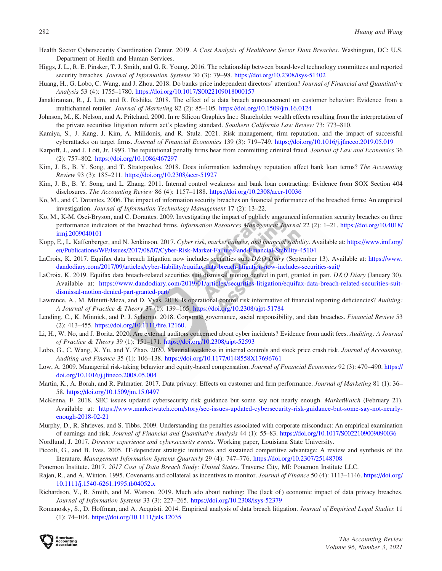- <span id="page-22-0"></span>Health Sector Cybersecurity Coordination Center. 2019. A Cost Analysis of Healthcare Sector Data Breaches. Washington, DC: U.S. Department of Health and Human Services.
- Higgs, J. L., R. E. Pinsker, T. J. Smith, and G. R. Young. 2016. The relationship between board-level technology committees and reported security breaches. Journal of Information Systems 30 (3): 79–98. <https://doi.org/10.2308/isys-51402>
- Huang, H., G. Lobo, C. Wang, and J. Zhou. 2018. Do banks price independent directors' attention? Journal of Financial and Quantitative Analysis 53 (4): 1755–1780. <https://doi.org/10.1017/S0022109018000157>
- Janakiraman, R., J. Lim, and R. Rishika. 2018. The effect of a data breach announcement on customer behavior: Evidence from a multichannel retailer. Journal of Marketing 82 (2): 85–105. <https://doi.org/10.1509/jm.16.0124>
- Johnson, M., K. Nelson, and A. Pritchard. 2000. In re Silicon Graphics Inc.: Shareholder wealth effects resulting from the interpretation of the private securities litigation reform act's pleading standard. Southern California Law Review 73: 773–810.
- Kamiya, S., J. Kang, J. Kim, A. Milidonis, and R. Stulz. 2021. Risk management, firm reputation, and the impact of successful cyberattacks on target firms. Journal of Financial Economics 139 (3): 719–749. <https://doi.org/10.1016/j.jfineco.2019.05.019>
- Karpoff, J., and J. Lott, Jr. 1993. The reputational penalty firms bear from committing criminal fraud. Journal of Law and Economics 36 (2): 757–802. <https://doi.org/10.1086/467297>
- Kim, J. B., B. Y. Song, and T. Stratopoulos. 2018. Does information technology reputation affect bank loan terms? The Accounting Review 93 (3): 185–211. <https://doi.org/10.2308/accr-51927>
- Kim, J. B., B. Y. Song, and L. Zhang. 2011. Internal control weakness and bank loan contracting: Evidence from SOX Section 404 disclosures. The Accounting Review 86 (4): 1157–1188. <https://doi.org/10.2308/accr-10036>
- Ko, M., and C. Dorantes. 2006. The impact of information security breaches on financial performance of the breached firms: An empirical investigation. Journal of Information Technology Management 17 (2): 13–22.
- Ko, M., K-M. Osei-Bryson, and C. Dorantes. 2009. Investigating the impact of publicly announced information security breaches on three performance indicators of the breached firms. Information Resources Management Journal 22 (2): 1–21. [https://doi.org/10.4018/](https://doi.org/10.4018/irmj.2009040101) [irmj.2009040101](https://doi.org/10.4018/irmj.2009040101)
- Kopp, E., L. Kaffenberger, and N. Jenkinson. 2017. Cyber risk, market failures, and financial stability. Available at: [https://www.imf.org/](https://www.imf.org/en/Publications/WP/Issues/2017/08/07/Cyber-Risk-Market-Failures-and-Financial-Stability-45104) [en/Publications/WP/Issues/2017/08/07/Cyber-Risk-Market-Failures-and-Financial-Stability-45104](https://www.imf.org/en/Publications/WP/Issues/2017/08/07/Cyber-Risk-Market-Failures-and-Financial-Stability-45104)
- LaCroix, K. 2017. Equifax data breach litigation now includes securities suit. D&O Diary (September 13). Available at: [https://www.](https://www.dandodiary.com/2017/09/articles/cyber-liability/equifax-data-breach-litigation-now-includes-securities-suit/) [dandodiary.com/2017/09/articles/cyber-liability/equifax-data-breach-litigation-now-includes-securities-suit/](https://www.dandodiary.com/2017/09/articles/cyber-liability/equifax-data-breach-litigation-now-includes-securities-suit/)
- LaCroix, K. 2019. Equifax data breach-related securities suit dismissal motion denied in part, granted in part. D&O Diary (January 30). Available at: [https://www.dandodiary.com/2019/01/articles/securities-litigation/equifax-data-breach-related-securities-suit](https://www.dandodiary.com/2019/01/articles/securities-litigation/equifax-data-breach-related-securities-suit-dismissal-motion-denied-part-granted-part/)[dismissal-motion-denied-part-granted-part/](https://www.dandodiary.com/2019/01/articles/securities-litigation/equifax-data-breach-related-securities-suit-dismissal-motion-denied-part-granted-part/)
- Lawrence, A., M. Minutti-Meza, and D. Vyas. 2018. Is operational control risk informative of financial reporting deficiencies? Auditing: A Journal of Practice & Theory 37 (1): 139–165. <https://doi.org/10.2308/ajpt-51784>
- Lending, C., K. Minnick, and P. J. Schorno. 2018. Corporate governance, social responsibility, and data breaches. Financial Review 53 (2): 413–455. <https://doi.org/10.1111/fire.12160>.
- Li, H., W. No, and J. Boritz. 2020. Are external auditors concerned about cyber incidents? Evidence from audit fees. Auditing: A Journal of Practice & Theory 39 (1): 151–171. <https://doi.org/10.2308/ajpt-52593>
- Lobo, G., C. Wang, X. Yu, and Y. Zhao. 2020. Material weakness in internal controls and stock price crash risk. Journal of Accounting, Auditing and Finance 35 (1): 106–138. <https://doi.org/10.1177/0148558X17696761>
- Low, A. 2009. Managerial risk-taking behavior and equity-based compensation. Journal of Financial Economics 92 (3): 470–490. [https://](https://doi.org/10.1016/j.jfineco.2008.05.004) [doi.org/10.1016/j.jfineco.2008.05.004](https://doi.org/10.1016/j.jfineco.2008.05.004)
- Martin, K., A. Borah, and R. Palmatier. 2017. Data privacy: Effects on customer and firm performance. Journal of Marketing 81 (1): 36– 58. <https://doi.org/10.1509/jm.15.0497>
- McKenna, F. 2018. SEC issues updated cybersecurity risk guidance but some say not nearly enough. MarketWatch (February 21). Available at: [https://www.marketwatch.com/story/sec-issues-updated-cybersecurity-risk-guidance-but-some-say-not-nearly](https://www.marketwatch.com/story/sec-issues-updated-cybersecurity-risk-guidance-but-some-say-not-nearly-enough-2018-02-21)[enough-2018-02-21](https://www.marketwatch.com/story/sec-issues-updated-cybersecurity-risk-guidance-but-some-say-not-nearly-enough-2018-02-21)
- Murphy, D., R. Shrieves, and S. Tibbs. 2009. Understanding the penalties associated with corporate misconduct: An empirical examination of earnings and risk. Journal of Financial and Quantitative Analysis 44 (1): 55–83. <https://doi.org/10.1017/S0022109009090036>
- Nordlund, J. 2017. Director experience and cybersecurity events. Working paper, Louisiana State University.
- Piccoli, G., and B. Ives. 2005. IT-dependent strategic initiatives and sustained competitive advantage: A review and synthesis of the literature. Management Information Systems Quarterly 29 (4): 747–776. <https://doi.org/10.2307/25148708>
- Ponemon Institute. 2017. 2017 Cost of Data Breach Study: United States. Traverse City, MI: Ponemon Institute LLC.
- Rajan, R., and A. Winton. 1995. Covenants and collateral as incentives to monitor. Journal of Finance 50 (4): 1113–1146. [https://doi.org/](https://doi.org/10.1111/j.1540-6261.1995.tb04052.x) [10.1111/j.1540-6261.1995.tb04052.x](https://doi.org/10.1111/j.1540-6261.1995.tb04052.x)
- Richardson, V., R. Smith, and M. Watson. 2019. Much ado about nothing: The (lack of ) economic impact of data privacy breaches. Journal of Information Systems 33 (3): 227–265. <https://doi.org/10.2308/isys-52379>
- Romanosky, S., D. Hoffman, and A. Acquisti. 2014. Empirical analysis of data breach litigation. Journal of Empirical Legal Studies 11 (1): 74–104. <https://doi.org/10.1111/jels.12035>

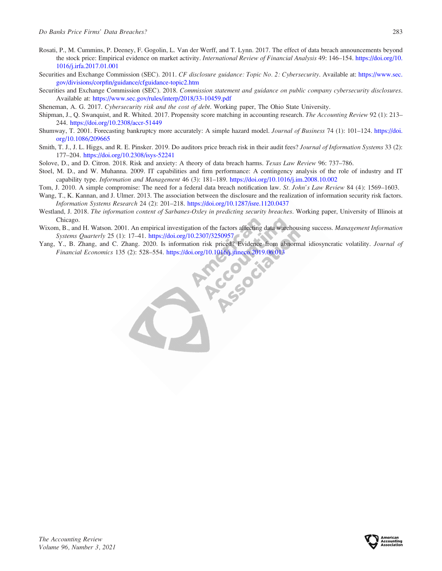- <span id="page-23-0"></span>Rosati, P., M. Cummins, P. Deeney, F. Gogolin, L. Van der Werff, and T. Lynn. 2017. The effect of data breach announcements beyond the stock price: Empirical evidence on market activity. International Review of Financial Analysis 49: 146-154. [https://doi.org/10.](https://doi.org/10.1016/j.irfa.2017.01.001) [1016/j.irfa.2017.01.001](https://doi.org/10.1016/j.irfa.2017.01.001)
- Securities and Exchange Commission (SEC). 2011. CF disclosure guidance: Topic No. 2: Cybersecurity. Available at: [https://www.sec.](https://www.sec.gov/divisions/corpfin/guidance/cfguidance-topic2.htm) [gov/divisions/corpfin/guidance/cfguidance-topic2.htm](https://www.sec.gov/divisions/corpfin/guidance/cfguidance-topic2.htm)
- Securities and Exchange Commission (SEC). 2018. Commission statement and guidance on public company cybersecurity disclosures. Available at: <https://www.sec.gov/rules/interp/2018/33-10459.pdf>
- Sheneman, A. G. 2017. Cybersecurity risk and the cost of debt. Working paper, The Ohio State University.
- Shipman, J., Q. Swanquist, and R. Whited. 2017. Propensity score matching in accounting research. The Accounting Review 92 (1): 213– 244. <https://doi.org/10.2308/accr-51449>
- Shumway, T. 2001. Forecasting bankruptcy more accurately: A simple hazard model. Journal of Business 74 (1): 101–124. [https://doi.](https://doi.org/10.1086/209665) [org/10.1086/209665](https://doi.org/10.1086/209665)
- Smith, T. J., J. L. Higgs, and R. E. Pinsker. 2019. Do auditors price breach risk in their audit fees? Journal of Information Systems 33 (2): 177–204. <https://doi.org/10.2308/isys-52241>
- Solove, D., and D. Citron. 2018. Risk and anxiety: A theory of data breach harms. Texas Law Review 96: 737–786.
- Stoel, M. D., and W. Muhanna. 2009. IT capabilities and firm performance: A contingency analysis of the role of industry and IT capability type. Information and Management 46 (3): 181–189. <https://doi.org/10.1016/j.im.2008.10.002>
- Tom, J. 2010. A simple compromise: The need for a federal data breach notification law. St. John's Law Review 84 (4): 1569–1603.
- Wang, T., K. Kannan, and J. Ulmer. 2013. The association between the disclosure and the realization of information security risk factors. Information Systems Research 24 (2): 201–218. <https://doi.org/10.1287/isre.1120.0437>
- Westland, J. 2018. The information content of Sarbanes-Oxley in predicting security breaches. Working paper, University of Illinois at Chicago.
- Wixom, B., and H. Watson. 2001. An empirical investigation of the factors affecting data warehousing success. Management Information Systems Quarterly 25 (1): 17–41. <https://doi.org/10.2307/3250957>
- Yang, Y., B. Zhang, and C. Zhang. 2020. Is information risk priced? Evidence from abnormal idiosyncratic volatility. Journal of Financial Economics 135 (2): 528–554. <https://doi.org/10.1016/j.jfineco.2019.06.013>

ccocac

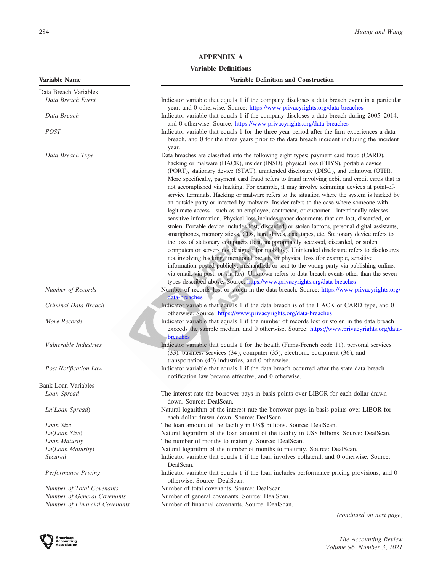# APPENDIX A

# Variable Definitions

| Variable Name                 | <b>Variable Definition and Construction</b>                                                                                                                                                                                                                                                                                                                                                                                                                                                                                                                                                                                                                                                                                                                                                                                                                                                                                                                                                                                                                                                                                                                                                                                                                                                                                                                                                                                                                                                                                     |
|-------------------------------|---------------------------------------------------------------------------------------------------------------------------------------------------------------------------------------------------------------------------------------------------------------------------------------------------------------------------------------------------------------------------------------------------------------------------------------------------------------------------------------------------------------------------------------------------------------------------------------------------------------------------------------------------------------------------------------------------------------------------------------------------------------------------------------------------------------------------------------------------------------------------------------------------------------------------------------------------------------------------------------------------------------------------------------------------------------------------------------------------------------------------------------------------------------------------------------------------------------------------------------------------------------------------------------------------------------------------------------------------------------------------------------------------------------------------------------------------------------------------------------------------------------------------------|
| Data Breach Variables         |                                                                                                                                                                                                                                                                                                                                                                                                                                                                                                                                                                                                                                                                                                                                                                                                                                                                                                                                                                                                                                                                                                                                                                                                                                                                                                                                                                                                                                                                                                                                 |
| Data Breach Event             | Indicator variable that equals 1 if the company discloses a data breach event in a particular                                                                                                                                                                                                                                                                                                                                                                                                                                                                                                                                                                                                                                                                                                                                                                                                                                                                                                                                                                                                                                                                                                                                                                                                                                                                                                                                                                                                                                   |
| Data Breach                   | year, and 0 otherwise. Source: https://www.privacyrights.org/data-breaches<br>Indicator variable that equals 1 if the company discloses a data breach during 2005–2014,<br>and 0 otherwise. Source: https://www.privacyrights.org/data-breaches                                                                                                                                                                                                                                                                                                                                                                                                                                                                                                                                                                                                                                                                                                                                                                                                                                                                                                                                                                                                                                                                                                                                                                                                                                                                                 |
| <b>POST</b>                   | Indicator variable that equals 1 for the three-year period after the firm experiences a data<br>breach, and 0 for the three years prior to the data breach incident including the incident<br>year.                                                                                                                                                                                                                                                                                                                                                                                                                                                                                                                                                                                                                                                                                                                                                                                                                                                                                                                                                                                                                                                                                                                                                                                                                                                                                                                             |
| Data Breach Type              | Data breaches are classified into the following eight types: payment card fraud (CARD),<br>hacking or malware (HACK), insider (INSD), physical loss (PHYS), portable device<br>(PORT), stationary device (STAT), unintended disclosure (DISC), and unknown (OTH).<br>More specifically, payment card fraud refers to fraud involving debit and credit cards that is<br>not accomplished via hacking. For example, it may involve skimming devices at point-of-<br>service terminals. Hacking or malware refers to the situation where the system is hacked by<br>an outside party or infected by malware. Insider refers to the case where someone with<br>legitimate access-such as an employee, contractor, or customer-intentionally releases<br>sensitive information. Physical loss includes paper documents that are lost, discarded, or<br>stolen. Portable device includes lost, discarded, or stolen laptops, personal digital assistants,<br>smartphones, memory sticks, CDs, hard drives, data tapes, etc. Stationary device refers to<br>the loss of stationary computers (lost, inappropriately accessed, discarded, or stolen<br>computers or servers not designed for mobility). Unintended disclosure refers to disclosures<br>not involving hacking, intentional breach, or physical loss (for example, sensitive<br>information posted publicly, mishandled, or sent to the wrong party via publishing online,<br>via email, via post, or via fax). Unknown refers to data breach events other than the seven |
| Number of Records             | types described above. Source: https://www.privacyrights.org/data-breaches<br>Number of records lost or stolen in the data breach. Source: https://www.privacyrights.org/<br>data-breaches                                                                                                                                                                                                                                                                                                                                                                                                                                                                                                                                                                                                                                                                                                                                                                                                                                                                                                                                                                                                                                                                                                                                                                                                                                                                                                                                      |
| Criminal Data Breach          | Indicator variable that equals 1 if the data breach is of the HACK or CARD type, and 0<br>otherwise. Source: https://www.privacyrights.org/data-breaches                                                                                                                                                                                                                                                                                                                                                                                                                                                                                                                                                                                                                                                                                                                                                                                                                                                                                                                                                                                                                                                                                                                                                                                                                                                                                                                                                                        |
| More Records                  | Indicator variable that equals 1 if the number of records lost or stolen in the data breach<br>exceeds the sample median, and 0 otherwise. Source: https://www.privacyrights.org/data-<br>breaches                                                                                                                                                                                                                                                                                                                                                                                                                                                                                                                                                                                                                                                                                                                                                                                                                                                                                                                                                                                                                                                                                                                                                                                                                                                                                                                              |
| <i>Vulnerable Industries</i>  | Indicator variable that equals 1 for the health (Fama-French code 11), personal services<br>(33), business services (34), computer (35), electronic equipment (36), and<br>transportation (40) industries, and 0 otherwise.                                                                                                                                                                                                                                                                                                                                                                                                                                                                                                                                                                                                                                                                                                                                                                                                                                                                                                                                                                                                                                                                                                                                                                                                                                                                                                     |
| <b>Post Notification Law</b>  | Indicator variable that equals 1 if the data breach occurred after the state data breach<br>notification law became effective, and 0 otherwise.                                                                                                                                                                                                                                                                                                                                                                                                                                                                                                                                                                                                                                                                                                                                                                                                                                                                                                                                                                                                                                                                                                                                                                                                                                                                                                                                                                                 |
| Bank Loan Variables           |                                                                                                                                                                                                                                                                                                                                                                                                                                                                                                                                                                                                                                                                                                                                                                                                                                                                                                                                                                                                                                                                                                                                                                                                                                                                                                                                                                                                                                                                                                                                 |
| Loan Spread                   | The interest rate the borrower pays in basis points over LIBOR for each dollar drawn<br>down. Source: DealScan.                                                                                                                                                                                                                                                                                                                                                                                                                                                                                                                                                                                                                                                                                                                                                                                                                                                                                                                                                                                                                                                                                                                                                                                                                                                                                                                                                                                                                 |
| Ln(Loan Spread)               | Natural logarithm of the interest rate the borrower pays in basis points over LIBOR for<br>each dollar drawn down. Source: DealScan.                                                                                                                                                                                                                                                                                                                                                                                                                                                                                                                                                                                                                                                                                                                                                                                                                                                                                                                                                                                                                                                                                                                                                                                                                                                                                                                                                                                            |
| Loan Size                     | The loan amount of the facility in US\$ billions. Source: DealScan.                                                                                                                                                                                                                                                                                                                                                                                                                                                                                                                                                                                                                                                                                                                                                                                                                                                                                                                                                                                                                                                                                                                                                                                                                                                                                                                                                                                                                                                             |
| Ln(Loan Size)                 | Natural logarithm of the loan amount of the facility in US\$ billions. Source: DealScan.                                                                                                                                                                                                                                                                                                                                                                                                                                                                                                                                                                                                                                                                                                                                                                                                                                                                                                                                                                                                                                                                                                                                                                                                                                                                                                                                                                                                                                        |
| Loan Maturity                 | The number of months to maturity. Source: DealScan.                                                                                                                                                                                                                                                                                                                                                                                                                                                                                                                                                                                                                                                                                                                                                                                                                                                                                                                                                                                                                                                                                                                                                                                                                                                                                                                                                                                                                                                                             |
| Ln(Loan Maturity)             | Natural logarithm of the number of months to maturity. Source: DealScan.                                                                                                                                                                                                                                                                                                                                                                                                                                                                                                                                                                                                                                                                                                                                                                                                                                                                                                                                                                                                                                                                                                                                                                                                                                                                                                                                                                                                                                                        |
| <b>Secured</b>                | Indicator variable that equals 1 if the loan involves collateral, and 0 otherwise. Source:<br>DealScan.                                                                                                                                                                                                                                                                                                                                                                                                                                                                                                                                                                                                                                                                                                                                                                                                                                                                                                                                                                                                                                                                                                                                                                                                                                                                                                                                                                                                                         |
| Performance Pricing           | Indicator variable that equals 1 if the loan includes performance pricing provisions, and 0<br>otherwise. Source: DealScan.                                                                                                                                                                                                                                                                                                                                                                                                                                                                                                                                                                                                                                                                                                                                                                                                                                                                                                                                                                                                                                                                                                                                                                                                                                                                                                                                                                                                     |
| Number of Total Covenants     | Number of total covenants. Source: DealScan.                                                                                                                                                                                                                                                                                                                                                                                                                                                                                                                                                                                                                                                                                                                                                                                                                                                                                                                                                                                                                                                                                                                                                                                                                                                                                                                                                                                                                                                                                    |
| Number of General Covenants   | Number of general covenants. Source: DealScan.                                                                                                                                                                                                                                                                                                                                                                                                                                                                                                                                                                                                                                                                                                                                                                                                                                                                                                                                                                                                                                                                                                                                                                                                                                                                                                                                                                                                                                                                                  |
| Number of Financial Covenants | Number of financial covenants. Source: DealScan.                                                                                                                                                                                                                                                                                                                                                                                                                                                                                                                                                                                                                                                                                                                                                                                                                                                                                                                                                                                                                                                                                                                                                                                                                                                                                                                                                                                                                                                                                |
|                               | (continued on next page)                                                                                                                                                                                                                                                                                                                                                                                                                                                                                                                                                                                                                                                                                                                                                                                                                                                                                                                                                                                                                                                                                                                                                                                                                                                                                                                                                                                                                                                                                                        |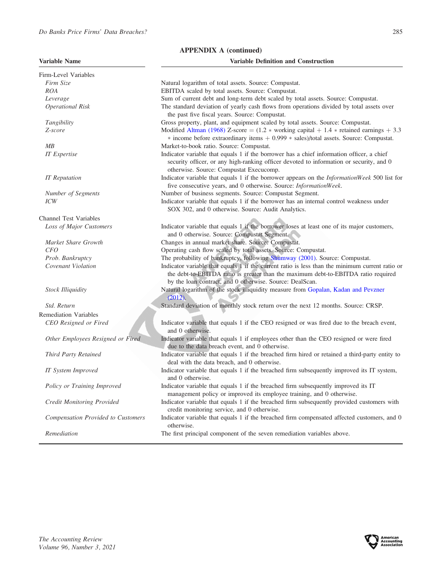| <b>Variable Name</b> |  |
|----------------------|--|
|----------------------|--|

| <b>Variable Name</b>                      | <b>Variable Definition and Construction</b>                                                                                                                                                                                                       |
|-------------------------------------------|---------------------------------------------------------------------------------------------------------------------------------------------------------------------------------------------------------------------------------------------------|
| Firm-Level Variables                      |                                                                                                                                                                                                                                                   |
| Firm Size                                 | Natural logarithm of total assets. Source: Compustat.                                                                                                                                                                                             |
| <b>ROA</b>                                | EBITDA scaled by total assets. Source: Compustat.                                                                                                                                                                                                 |
| Leverage                                  | Sum of current debt and long-term debt scaled by total assets. Source: Compustat.                                                                                                                                                                 |
| <b>Operational Risk</b>                   | The standard deviation of yearly cash flows from operations divided by total assets over<br>the past five fiscal years. Source: Compustat.                                                                                                        |
| Tangibility                               | Gross property, plant, and equipment scaled by total assets. Source: Compustat.                                                                                                                                                                   |
| Z-score                                   | Modified Altman (1968) Z-score = $(1.2 * working capital + 1.4 * retained earnings + 3.3)$<br>$*$ income before extraordinary items $+$ 0.999 $*$ sales)/total assets. Source: Compustat.                                                         |
| MB                                        | Market-to-book ratio. Source: Compustat.                                                                                                                                                                                                          |
| <b>IT</b> Expertise                       | Indicator variable that equals 1 if the borrower has a chief information officer, a chief<br>security officer, or any high-ranking officer devoted to information or security, and 0<br>otherwise. Source: Compustat Execucomp.                   |
| <b>IT</b> Reputation                      | Indicator variable that equals 1 if the borrower appears on the InformationWeek 500 list for<br>five consecutive years, and 0 otherwise. Source: InformationWeek.                                                                                 |
| Number of Segments                        | Number of business segments. Source: Compustat Segment.                                                                                                                                                                                           |
| ICW                                       | Indicator variable that equals 1 if the borrower has an internal control weakness under                                                                                                                                                           |
|                                           | SOX 302, and 0 otherwise. Source: Audit Analytics.                                                                                                                                                                                                |
| <b>Channel Test Variables</b>             |                                                                                                                                                                                                                                                   |
| Loss of Major Customers                   | Indicator variable that equals 1 if the borrower loses at least one of its major customers,<br>and 0 otherwise. Source: Compustat Segment.                                                                                                        |
| Market Share Growth                       | Changes in annual market share. Source: Compustat.                                                                                                                                                                                                |
| CFO                                       | Operating cash flow scaled by total assets. Source: Compustat.                                                                                                                                                                                    |
| Prob. Bankruptcy                          | The probability of bankruptcy, following Shumway (2001). Source: Compustat.                                                                                                                                                                       |
| Covenant Violation                        | Indicator variable that equals 1 if the current ratio is less than the minimum current ratio or<br>the debt-to-EBITDA ratio is greater than the maximum debt-to-EBITDA ratio required<br>by the loan contract, and 0 otherwise. Source: DealScan. |
| <b>Stock Illiquidity</b>                  | Natural logarithm of the stock illiquidity measure from Gopalan, Kadan and Pevzner<br>$(2012)$ .                                                                                                                                                  |
| Std. Return                               | Standard deviation of monthly stock return over the next 12 months. Source: CRSP.                                                                                                                                                                 |
| <b>Remediation Variables</b>              |                                                                                                                                                                                                                                                   |
| CEO Resigned or Fired                     | Indicator variable that equals 1 if the CEO resigned or was fired due to the breach event,<br>and 0 otherwise.                                                                                                                                    |
| Other Employees Resigned or Fired         | Indicator variable that equals 1 if employees other than the CEO resigned or were fired<br>due to the data breach event, and 0 otherwise.                                                                                                         |
| Third Party Retained                      | Indicator variable that equals 1 if the breached firm hired or retained a third-party entity to<br>deal with the data breach, and 0 otherwise.                                                                                                    |
| IT System Improved                        | Indicator variable that equals 1 if the breached firm subsequently improved its IT system,<br>and 0 otherwise.                                                                                                                                    |
| Policy or Training Improved               | Indicator variable that equals 1 if the breached firm subsequently improved its IT<br>management policy or improved its employee training, and 0 otherwise.                                                                                       |
| <b>Credit Monitoring Provided</b>         | Indicator variable that equals 1 if the breached firm subsequently provided customers with<br>credit monitoring service, and 0 otherwise.                                                                                                         |
| <b>Compensation Provided to Customers</b> | Indicator variable that equals 1 if the breached firm compensated affected customers, and 0<br>otherwise.                                                                                                                                         |
| Remediation                               | The first principal component of the seven remediation variables above.                                                                                                                                                                           |

APPENDIX A (continued)